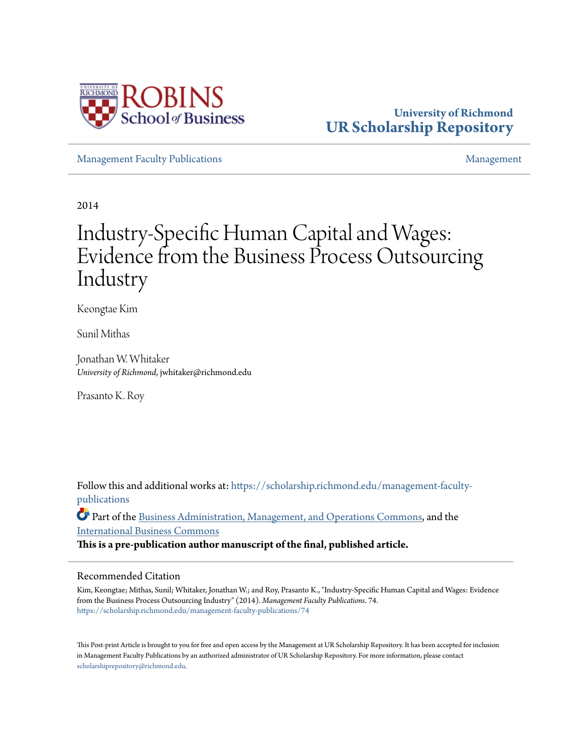

# **University of Richmond [UR Scholarship Repository](https://scholarship.richmond.edu?utm_source=scholarship.richmond.edu%2Fmanagement-faculty-publications%2F74&utm_medium=PDF&utm_campaign=PDFCoverPages)**

[Management Faculty Publications](https://scholarship.richmond.edu/management-faculty-publications?utm_source=scholarship.richmond.edu%2Fmanagement-faculty-publications%2F74&utm_medium=PDF&utm_campaign=PDFCoverPages) [Management](https://scholarship.richmond.edu/management?utm_source=scholarship.richmond.edu%2Fmanagement-faculty-publications%2F74&utm_medium=PDF&utm_campaign=PDFCoverPages)

2014

# Industry-Specific Human Capital and Wages: Evidence from the Business Process Outsourcing Industry

Keongtae Kim

Sunil Mithas

Jonathan W. Whitaker *University of Richmond*, jwhitaker@richmond.edu

Prasanto K. Roy

Follow this and additional works at: [https://scholarship.richmond.edu/management-faculty](https://scholarship.richmond.edu/management-faculty-publications?utm_source=scholarship.richmond.edu%2Fmanagement-faculty-publications%2F74&utm_medium=PDF&utm_campaign=PDFCoverPages)[publications](https://scholarship.richmond.edu/management-faculty-publications?utm_source=scholarship.richmond.edu%2Fmanagement-faculty-publications%2F74&utm_medium=PDF&utm_campaign=PDFCoverPages)

Part of the [Business Administration, Management, and Operations Commons](http://network.bepress.com/hgg/discipline/623?utm_source=scholarship.richmond.edu%2Fmanagement-faculty-publications%2F74&utm_medium=PDF&utm_campaign=PDFCoverPages), and the [International Business Commons](http://network.bepress.com/hgg/discipline/634?utm_source=scholarship.richmond.edu%2Fmanagement-faculty-publications%2F74&utm_medium=PDF&utm_campaign=PDFCoverPages)

**This is a pre-publication author manuscript of the final, published article.**

# Recommended Citation

Kim, Keongtae; Mithas, Sunil; Whitaker, Jonathan W.; and Roy, Prasanto K., "Industry-Specific Human Capital and Wages: Evidence from the Business Process Outsourcing Industry" (2014). *Management Faculty Publications*. 74. [https://scholarship.richmond.edu/management-faculty-publications/74](https://scholarship.richmond.edu/management-faculty-publications/74?utm_source=scholarship.richmond.edu%2Fmanagement-faculty-publications%2F74&utm_medium=PDF&utm_campaign=PDFCoverPages)

This Post-print Article is brought to you for free and open access by the Management at UR Scholarship Repository. It has been accepted for inclusion in Management Faculty Publications by an authorized administrator of UR Scholarship Repository. For more information, please contact [scholarshiprepository@richmond.edu.](mailto:scholarshiprepository@richmond.edu)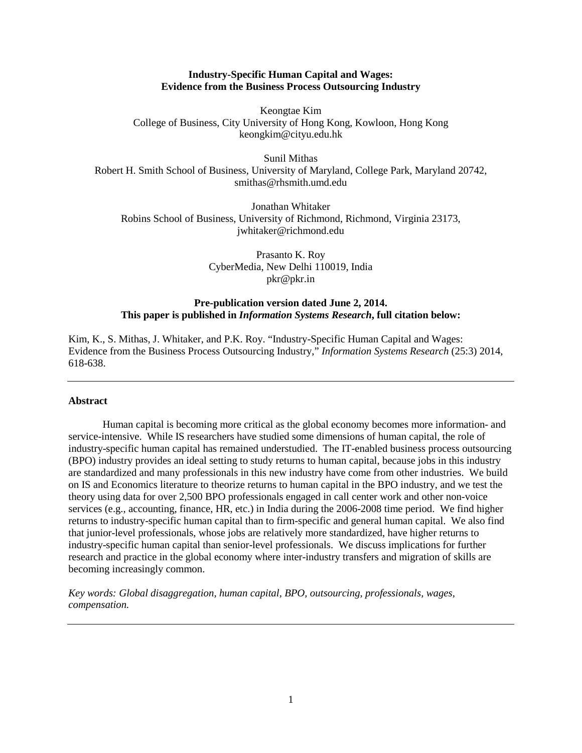## **Industry-Specific Human Capital and Wages: Evidence from the Business Process Outsourcing Industry**

Keongtae Kim College of Business, City University of Hong Kong, Kowloon, Hong Kong keongkim@cityu.edu.hk

Sunil Mithas Robert H. Smith School of Business, University of Maryland, College Park, Maryland 20742, smithas@rhsmith.umd.edu

Jonathan Whitaker Robins School of Business, University of Richmond, Richmond, Virginia 23173, jwhitaker@richmond.edu

> Prasanto K. Roy CyberMedia, New Delhi 110019, India pkr@pkr.in

# **Pre-publication version dated June 2, 2014. This paper is published in** *Information Systems Research***, full citation below:**

Kim, K., S. Mithas, J. Whitaker, and P.K. Roy. "Industry-Specific Human Capital and Wages: Evidence from the Business Process Outsourcing Industry," *Information Systems Research* (25:3) 2014, 618-638.

## **Abstract**

Human capital is becoming more critical as the global economy becomes more information- and service-intensive. While IS researchers have studied some dimensions of human capital, the role of industry-specific human capital has remained understudied. The IT-enabled business process outsourcing (BPO) industry provides an ideal setting to study returns to human capital, because jobs in this industry are standardized and many professionals in this new industry have come from other industries. We build on IS and Economics literature to theorize returns to human capital in the BPO industry, and we test the theory using data for over 2,500 BPO professionals engaged in call center work and other non-voice services (e.g., accounting, finance, HR, etc.) in India during the 2006-2008 time period. We find higher returns to industry-specific human capital than to firm-specific and general human capital. We also find that junior-level professionals, whose jobs are relatively more standardized, have higher returns to industry-specific human capital than senior-level professionals. We discuss implications for further research and practice in the global economy where inter-industry transfers and migration of skills are becoming increasingly common.

*Key words: Global disaggregation, human capital, BPO, outsourcing, professionals, wages, compensation.*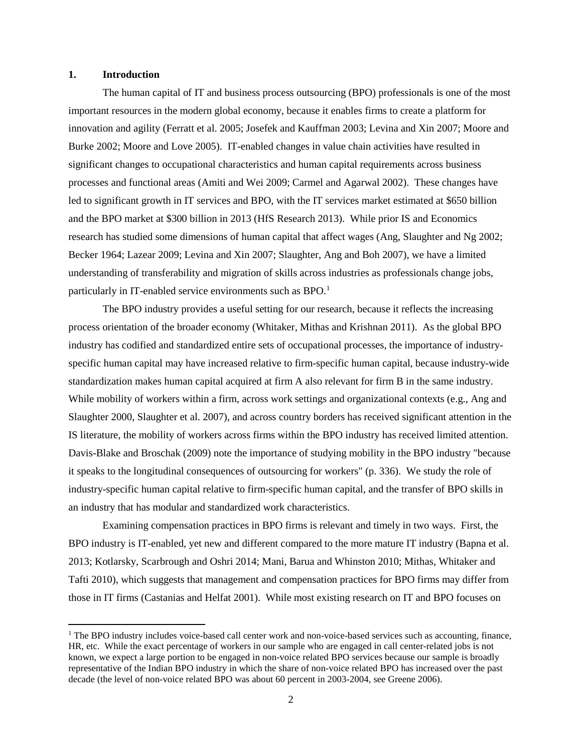#### **1. Introduction**

The human capital of IT and business process outsourcing (BPO) professionals is one of the most important resources in the modern global economy, because it enables firms to create a platform for innovation and agility (Ferratt et al. 2005; Josefek and Kauffman 2003; Levina and Xin 2007; Moore and Burke 2002; Moore and Love 2005). IT-enabled changes in value chain activities have resulted in significant changes to occupational characteristics and human capital requirements across business processes and functional areas (Amiti and Wei 2009; Carmel and Agarwal 2002). These changes have led to significant growth in IT services and BPO, with the IT services market estimated at \$650 billion and the BPO market at \$300 billion in 2013 (HfS Research 2013). While prior IS and Economics research has studied some dimensions of human capital that affect wages (Ang, Slaughter and Ng 2002; Becker 1964; Lazear 2009; Levina and Xin 2007; Slaughter, Ang and Boh 2007), we have a limited understanding of transferability and migration of skills across industries as professionals change jobs, particularly in IT-enabled service environments such as BPO.<sup>[1](#page-2-0)</sup>

The BPO industry provides a useful setting for our research, because it reflects the increasing process orientation of the broader economy (Whitaker, Mithas and Krishnan 2011). As the global BPO industry has codified and standardized entire sets of occupational processes, the importance of industryspecific human capital may have increased relative to firm-specific human capital, because industry-wide standardization makes human capital acquired at firm A also relevant for firm B in the same industry. While mobility of workers within a firm, across work settings and organizational contexts (e.g., Ang and Slaughter 2000, Slaughter et al. 2007), and across country borders has received significant attention in the IS literature, the mobility of workers across firms within the BPO industry has received limited attention. Davis-Blake and Broschak (2009) note the importance of studying mobility in the BPO industry "because it speaks to the longitudinal consequences of outsourcing for workers" (p. 336). We study the role of industry-specific human capital relative to firm-specific human capital, and the transfer of BPO skills in an industry that has modular and standardized work characteristics.

Examining compensation practices in BPO firms is relevant and timely in two ways. First, the BPO industry is IT-enabled, yet new and different compared to the more mature IT industry (Bapna et al. 2013; Kotlarsky, Scarbrough and Oshri 2014; Mani, Barua and Whinston 2010; Mithas, Whitaker and Tafti 2010), which suggests that management and compensation practices for BPO firms may differ from those in IT firms (Castanias and Helfat 2001). While most existing research on IT and BPO focuses on

<span id="page-2-0"></span><sup>&</sup>lt;sup>1</sup> The BPO industry includes voice-based call center work and non-voice-based services such as accounting, finance, HR, etc. While the exact percentage of workers in our sample who are engaged in call center-related jobs is not known, we expect a large portion to be engaged in non-voice related BPO services because our sample is broadly representative of the Indian BPO industry in which the share of non-voice related BPO has increased over the past decade (the level of non-voice related BPO was about 60 percent in 2003-2004, see Greene 2006).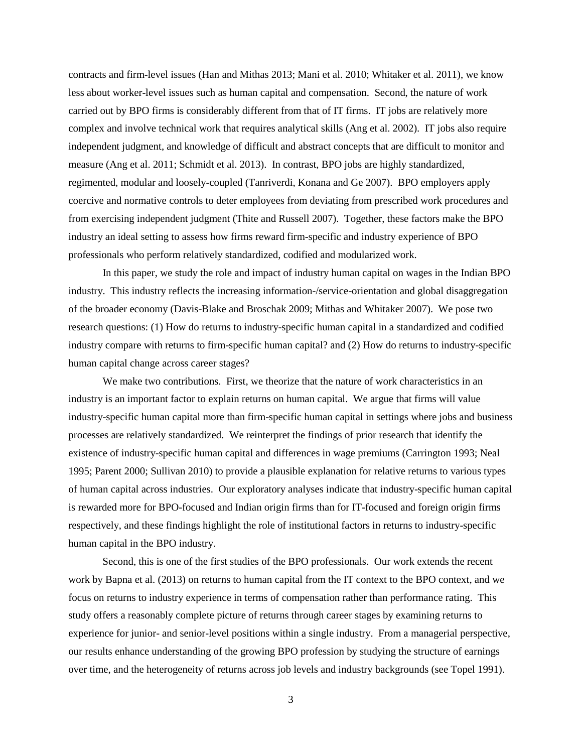contracts and firm-level issues (Han and Mithas 2013; Mani et al. 2010; Whitaker et al. 2011), we know less about worker-level issues such as human capital and compensation. Second, the nature of work carried out by BPO firms is considerably different from that of IT firms. IT jobs are relatively more complex and involve technical work that requires analytical skills (Ang et al. 2002). IT jobs also require independent judgment, and knowledge of difficult and abstract concepts that are difficult to monitor and measure (Ang et al. 2011; Schmidt et al. 2013). In contrast, BPO jobs are highly standardized, regimented, modular and loosely-coupled (Tanriverdi, Konana and Ge 2007). BPO employers apply coercive and normative controls to deter employees from deviating from prescribed work procedures and from exercising independent judgment (Thite and Russell 2007). Together, these factors make the BPO industry an ideal setting to assess how firms reward firm-specific and industry experience of BPO professionals who perform relatively standardized, codified and modularized work.

In this paper, we study the role and impact of industry human capital on wages in the Indian BPO industry. This industry reflects the increasing information-/service-orientation and global disaggregation of the broader economy (Davis-Blake and Broschak 2009; Mithas and Whitaker 2007). We pose two research questions: (1) How do returns to industry-specific human capital in a standardized and codified industry compare with returns to firm-specific human capital? and (2) How do returns to industry-specific human capital change across career stages?

We make two contributions. First, we theorize that the nature of work characteristics in an industry is an important factor to explain returns on human capital. We argue that firms will value industry-specific human capital more than firm-specific human capital in settings where jobs and business processes are relatively standardized. We reinterpret the findings of prior research that identify the existence of industry-specific human capital and differences in wage premiums (Carrington 1993; Neal 1995; Parent 2000; Sullivan 2010) to provide a plausible explanation for relative returns to various types of human capital across industries. Our exploratory analyses indicate that industry-specific human capital is rewarded more for BPO-focused and Indian origin firms than for IT-focused and foreign origin firms respectively, and these findings highlight the role of institutional factors in returns to industry-specific human capital in the BPO industry.

Second, this is one of the first studies of the BPO professionals. Our work extends the recent work by Bapna et al. (2013) on returns to human capital from the IT context to the BPO context, and we focus on returns to industry experience in terms of compensation rather than performance rating. This study offers a reasonably complete picture of returns through career stages by examining returns to experience for junior- and senior-level positions within a single industry. From a managerial perspective, our results enhance understanding of the growing BPO profession by studying the structure of earnings over time, and the heterogeneity of returns across job levels and industry backgrounds (see Topel 1991).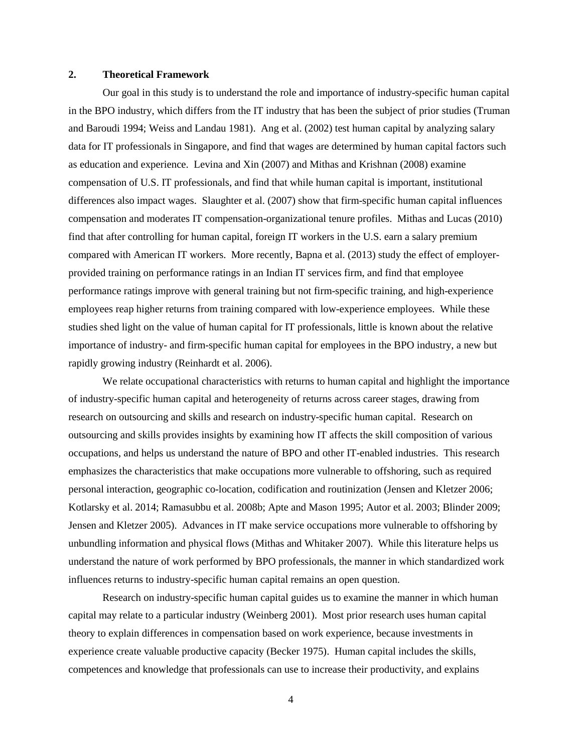#### **2. Theoretical Framework**

Our goal in this study is to understand the role and importance of industry-specific human capital in the BPO industry, which differs from the IT industry that has been the subject of prior studies (Truman and Baroudi 1994; Weiss and Landau 1981). Ang et al. (2002) test human capital by analyzing salary data for IT professionals in Singapore, and find that wages are determined by human capital factors such as education and experience. Levina and Xin (2007) and Mithas and Krishnan (2008) examine compensation of U.S. IT professionals, and find that while human capital is important, institutional differences also impact wages. Slaughter et al. (2007) show that firm-specific human capital influences compensation and moderates IT compensation-organizational tenure profiles. Mithas and Lucas (2010) find that after controlling for human capital, foreign IT workers in the U.S. earn a salary premium compared with American IT workers. More recently, Bapna et al. (2013) study the effect of employerprovided training on performance ratings in an Indian IT services firm, and find that employee performance ratings improve with general training but not firm-specific training, and high-experience employees reap higher returns from training compared with low-experience employees. While these studies shed light on the value of human capital for IT professionals, little is known about the relative importance of industry- and firm-specific human capital for employees in the BPO industry, a new but rapidly growing industry (Reinhardt et al. 2006).

We relate occupational characteristics with returns to human capital and highlight the importance of industry-specific human capital and heterogeneity of returns across career stages, drawing from research on outsourcing and skills and research on industry-specific human capital. Research on outsourcing and skills provides insights by examining how IT affects the skill composition of various occupations, and helps us understand the nature of BPO and other IT-enabled industries. This research emphasizes the characteristics that make occupations more vulnerable to offshoring, such as required personal interaction, geographic co-location, codification and routinization (Jensen and Kletzer 2006; Kotlarsky et al. 2014; Ramasubbu et al. 2008b; Apte and Mason 1995; Autor et al. 2003; Blinder 2009; Jensen and Kletzer 2005). Advances in IT make service occupations more vulnerable to offshoring by unbundling information and physical flows (Mithas and Whitaker 2007). While this literature helps us understand the nature of work performed by BPO professionals, the manner in which standardized work influences returns to industry-specific human capital remains an open question.

Research on industry-specific human capital guides us to examine the manner in which human capital may relate to a particular industry (Weinberg 2001). Most prior research uses human capital theory to explain differences in compensation based on work experience, because investments in experience create valuable productive capacity (Becker 1975). Human capital includes the skills, competences and knowledge that professionals can use to increase their productivity, and explains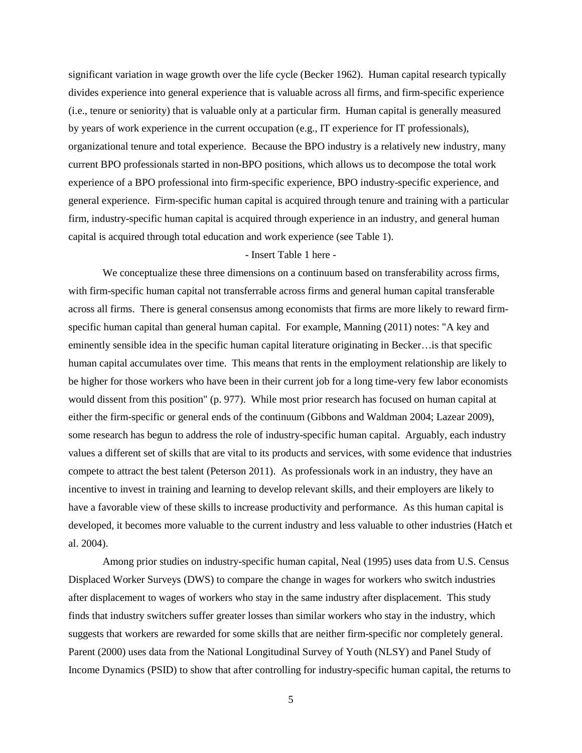significant variation in wage growth over the life cycle (Becker 1962). Human capital research typically divides experience into general experience that is valuable across all firms, and firm-specific experience (i.e., tenure or seniority) that is valuable only at a particular firm. Human capital is generally measured by years of work experience in the current occupation (e.g., IT experience for IT professionals), organizational tenure and total experience. Because the BPO industry is a relatively new industry, many current BPO professionals started in non-BPO positions, which allows us to decompose the total work experience of a BPO professional into firm-specific experience, BPO industry-specific experience, and general experience. Firm-specific human capital is acquired through tenure and training with a particular firm, industry-specific human capital is acquired through experience in an industry, and general human capital is acquired through total education and work experience (see Table 1).

#### - Insert Table 1 here -

We conceptualize these three dimensions on a continuum based on transferability across firms, with firm-specific human capital not transferrable across firms and general human capital transferable across all firms. There is general consensus among economists that firms are more likely to reward firmspecific human capital than general human capital. For example, Manning (2011) notes: "A key and eminently sensible idea in the specific human capital literature originating in Becker…is that specific human capital accumulates over time. This means that rents in the employment relationship are likely to be higher for those workers who have been in their current job for a long time-very few labor economists would dissent from this position" (p. 977). While most prior research has focused on human capital at either the firm-specific or general ends of the continuum (Gibbons and Waldman 2004; Lazear 2009), some research has begun to address the role of industry-specific human capital. Arguably, each industry values a different set of skills that are vital to its products and services, with some evidence that industries compete to attract the best talent (Peterson 2011). As professionals work in an industry, they have an incentive to invest in training and learning to develop relevant skills, and their employers are likely to have a favorable view of these skills to increase productivity and performance. As this human capital is developed, it becomes more valuable to the current industry and less valuable to other industries (Hatch et al. 2004).

Among prior studies on industry-specific human capital, Neal (1995) uses data from U.S. Census Displaced Worker Surveys (DWS) to compare the change in wages for workers who switch industries after displacement to wages of workers who stay in the same industry after displacement. This study finds that industry switchers suffer greater losses than similar workers who stay in the industry, which suggests that workers are rewarded for some skills that are neither firm-specific nor completely general. Parent (2000) uses data from the National Longitudinal Survey of Youth (NLSY) and Panel Study of Income Dynamics (PSID) to show that after controlling for industry-specific human capital, the returns to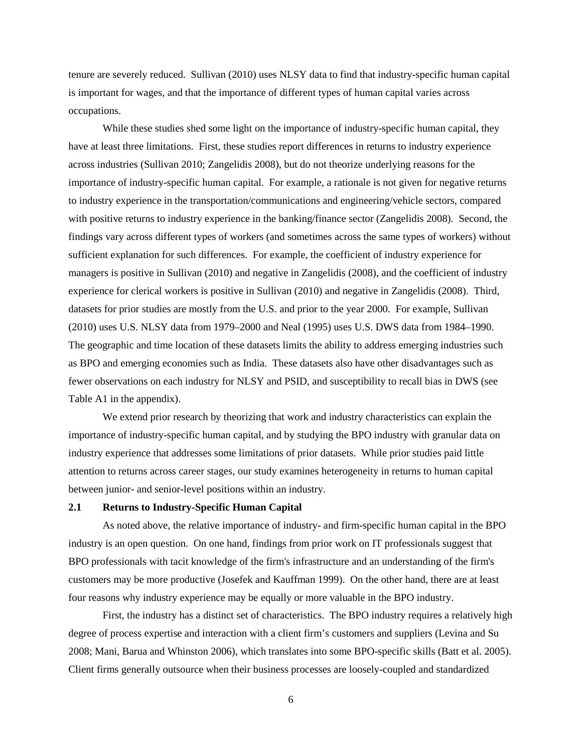tenure are severely reduced. Sullivan (2010) uses NLSY data to find that industry-specific human capital is important for wages, and that the importance of different types of human capital varies across occupations.

While these studies shed some light on the importance of industry-specific human capital, they have at least three limitations. First, these studies report differences in returns to industry experience across industries (Sullivan 2010; Zangelidis 2008), but do not theorize underlying reasons for the importance of industry-specific human capital. For example, a rationale is not given for negative returns to industry experience in the transportation/communications and engineering/vehicle sectors, compared with positive returns to industry experience in the banking/finance sector (Zangelidis 2008). Second, the findings vary across different types of workers (and sometimes across the same types of workers) without sufficient explanation for such differences. For example, the coefficient of industry experience for managers is positive in Sullivan (2010) and negative in Zangelidis (2008), and the coefficient of industry experience for clerical workers is positive in Sullivan (2010) and negative in Zangelidis (2008). Third, datasets for prior studies are mostly from the U.S. and prior to the year 2000. For example, Sullivan (2010) uses U.S. NLSY data from 1979–2000 and Neal (1995) uses U.S. DWS data from 1984–1990. The geographic and time location of these datasets limits the ability to address emerging industries such as BPO and emerging economies such as India. These datasets also have other disadvantages such as fewer observations on each industry for NLSY and PSID, and susceptibility to recall bias in DWS (see Table A1 in the appendix).

We extend prior research by theorizing that work and industry characteristics can explain the importance of industry-specific human capital, and by studying the BPO industry with granular data on industry experience that addresses some limitations of prior datasets. While prior studies paid little attention to returns across career stages, our study examines heterogeneity in returns to human capital between junior- and senior-level positions within an industry.

# **2.1 Returns to Industry-Specific Human Capital**

As noted above, the relative importance of industry- and firm-specific human capital in the BPO industry is an open question. On one hand, findings from prior work on IT professionals suggest that BPO professionals with tacit knowledge of the firm's infrastructure and an understanding of the firm's customers may be more productive (Josefek and Kauffman 1999). On the other hand, there are at least four reasons why industry experience may be equally or more valuable in the BPO industry.

First, the industry has a distinct set of characteristics. The BPO industry requires a relatively high degree of process expertise and interaction with a client firm's customers and suppliers (Levina and Su 2008; Mani, Barua and Whinston 2006), which translates into some BPO-specific skills (Batt et al. 2005). Client firms generally outsource when their business processes are loosely-coupled and standardized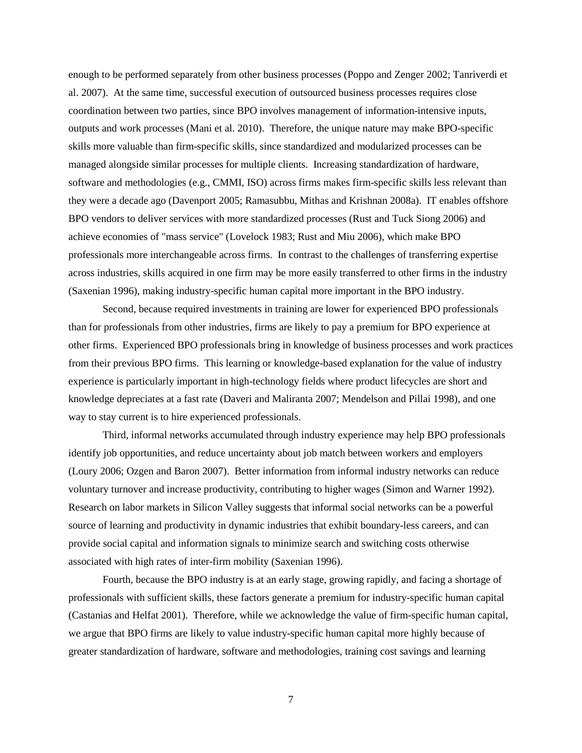enough to be performed separately from other business processes (Poppo and Zenger 2002; Tanriverdi et al. 2007). At the same time, successful execution of outsourced business processes requires close coordination between two parties, since BPO involves management of information-intensive inputs, outputs and work processes (Mani et al. 2010). Therefore, the unique nature may make BPO-specific skills more valuable than firm-specific skills, since standardized and modularized processes can be managed alongside similar processes for multiple clients. Increasing standardization of hardware, software and methodologies (e.g., CMMI, ISO) across firms makes firm-specific skills less relevant than they were a decade ago (Davenport 2005; Ramasubbu, Mithas and Krishnan 2008a). IT enables offshore BPO vendors to deliver services with more standardized processes (Rust and Tuck Siong 2006) and achieve economies of "mass service" (Lovelock 1983; Rust and Miu 2006), which make BPO professionals more interchangeable across firms. In contrast to the challenges of transferring expertise across industries, skills acquired in one firm may be more easily transferred to other firms in the industry (Saxenian 1996), making industry-specific human capital more important in the BPO industry.

Second, because required investments in training are lower for experienced BPO professionals than for professionals from other industries, firms are likely to pay a premium for BPO experience at other firms. Experienced BPO professionals bring in knowledge of business processes and work practices from their previous BPO firms. This learning or knowledge-based explanation for the value of industry experience is particularly important in high-technology fields where product lifecycles are short and knowledge depreciates at a fast rate (Daveri and Maliranta 2007; Mendelson and Pillai 1998), and one way to stay current is to hire experienced professionals.

Third, informal networks accumulated through industry experience may help BPO professionals identify job opportunities, and reduce uncertainty about job match between workers and employers (Loury 2006; Ozgen and Baron 2007). Better information from informal industry networks can reduce voluntary turnover and increase productivity, contributing to higher wages (Simon and Warner 1992). Research on labor markets in Silicon Valley suggests that informal social networks can be a powerful source of learning and productivity in dynamic industries that exhibit boundary-less careers, and can provide social capital and information signals to minimize search and switching costs otherwise associated with high rates of inter-firm mobility (Saxenian 1996).

Fourth, because the BPO industry is at an early stage, growing rapidly, and facing a shortage of professionals with sufficient skills, these factors generate a premium for industry-specific human capital (Castanias and Helfat 2001). Therefore, while we acknowledge the value of firm-specific human capital, we argue that BPO firms are likely to value industry-specific human capital more highly because of greater standardization of hardware, software and methodologies, training cost savings and learning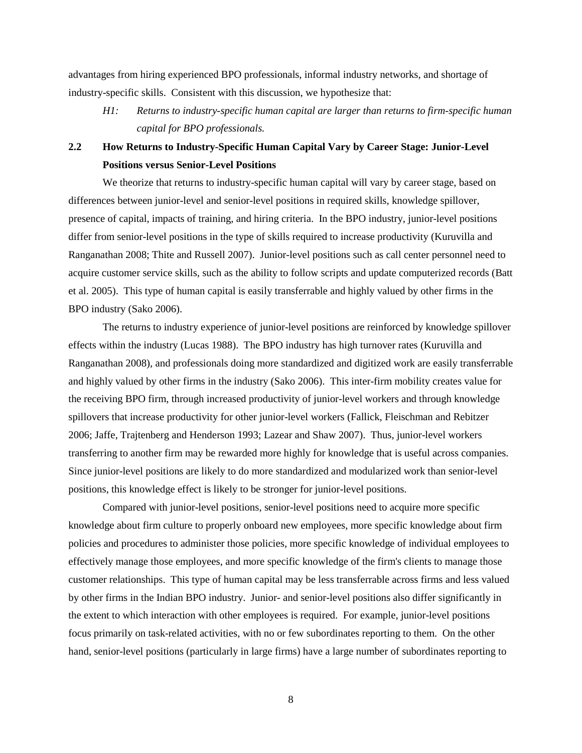advantages from hiring experienced BPO professionals, informal industry networks, and shortage of industry-specific skills. Consistent with this discussion, we hypothesize that:

*H1: Returns to industry-specific human capital are larger than returns to firm-specific human capital for BPO professionals.*

# **2.2 How Returns to Industry-Specific Human Capital Vary by Career Stage: Junior-Level Positions versus Senior-Level Positions**

We theorize that returns to industry-specific human capital will vary by career stage, based on differences between junior-level and senior-level positions in required skills, knowledge spillover, presence of capital, impacts of training, and hiring criteria. In the BPO industry, junior-level positions differ from senior-level positions in the type of skills required to increase productivity (Kuruvilla and Ranganathan 2008; Thite and Russell 2007). Junior-level positions such as call center personnel need to acquire customer service skills, such as the ability to follow scripts and update computerized records (Batt et al. 2005). This type of human capital is easily transferrable and highly valued by other firms in the BPO industry (Sako 2006).

The returns to industry experience of junior-level positions are reinforced by knowledge spillover effects within the industry (Lucas 1988). The BPO industry has high turnover rates (Kuruvilla and Ranganathan 2008), and professionals doing more standardized and digitized work are easily transferrable and highly valued by other firms in the industry (Sako 2006). This inter-firm mobility creates value for the receiving BPO firm, through increased productivity of junior-level workers and through knowledge spillovers that increase productivity for other junior-level workers (Fallick, Fleischman and Rebitzer 2006; Jaffe, Trajtenberg and Henderson 1993; Lazear and Shaw 2007). Thus, junior-level workers transferring to another firm may be rewarded more highly for knowledge that is useful across companies. Since junior-level positions are likely to do more standardized and modularized work than senior-level positions, this knowledge effect is likely to be stronger for junior-level positions.

Compared with junior-level positions, senior-level positions need to acquire more specific knowledge about firm culture to properly onboard new employees, more specific knowledge about firm policies and procedures to administer those policies, more specific knowledge of individual employees to effectively manage those employees, and more specific knowledge of the firm's clients to manage those customer relationships. This type of human capital may be less transferrable across firms and less valued by other firms in the Indian BPO industry. Junior- and senior-level positions also differ significantly in the extent to which interaction with other employees is required. For example, junior-level positions focus primarily on task-related activities, with no or few subordinates reporting to them. On the other hand, senior-level positions (particularly in large firms) have a large number of subordinates reporting to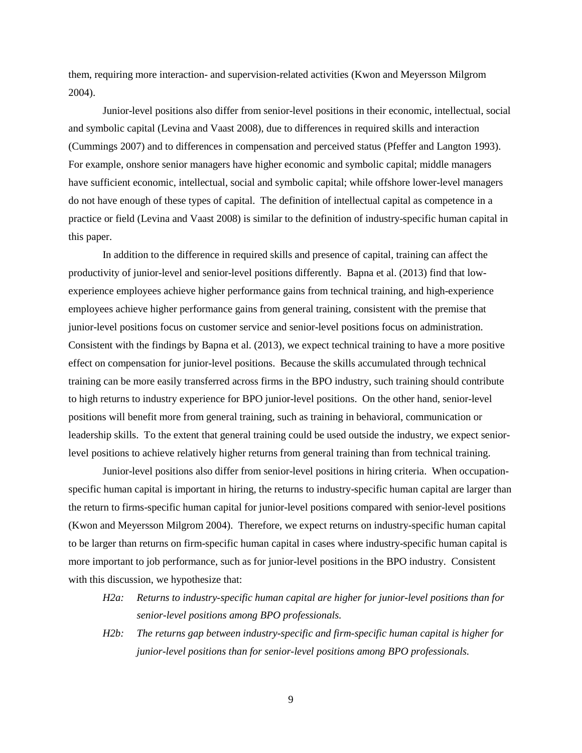them, requiring more interaction- and supervision-related activities (Kwon and Meyersson Milgrom 2004).

Junior-level positions also differ from senior-level positions in their economic, intellectual, social and symbolic capital (Levina and Vaast 2008), due to differences in required skills and interaction (Cummings 2007) and to differences in compensation and perceived status (Pfeffer and Langton 1993). For example, onshore senior managers have higher economic and symbolic capital; middle managers have sufficient economic, intellectual, social and symbolic capital; while offshore lower-level managers do not have enough of these types of capital. The definition of intellectual capital as competence in a practice or field (Levina and Vaast 2008) is similar to the definition of industry-specific human capital in this paper.

In addition to the difference in required skills and presence of capital, training can affect the productivity of junior-level and senior-level positions differently. Bapna et al. (2013) find that lowexperience employees achieve higher performance gains from technical training, and high-experience employees achieve higher performance gains from general training, consistent with the premise that junior-level positions focus on customer service and senior-level positions focus on administration. Consistent with the findings by Bapna et al. (2013), we expect technical training to have a more positive effect on compensation for junior-level positions. Because the skills accumulated through technical training can be more easily transferred across firms in the BPO industry, such training should contribute to high returns to industry experience for BPO junior-level positions. On the other hand, senior-level positions will benefit more from general training, such as training in behavioral, communication or leadership skills. To the extent that general training could be used outside the industry, we expect seniorlevel positions to achieve relatively higher returns from general training than from technical training.

Junior-level positions also differ from senior-level positions in hiring criteria. When occupationspecific human capital is important in hiring, the returns to industry-specific human capital are larger than the return to firms-specific human capital for junior-level positions compared with senior-level positions (Kwon and Meyersson Milgrom 2004). Therefore, we expect returns on industry-specific human capital to be larger than returns on firm-specific human capital in cases where industry-specific human capital is more important to job performance, such as for junior-level positions in the BPO industry. Consistent with this discussion, we hypothesize that:

- *H2a: Returns to industry-specific human capital are higher for junior-level positions than for senior-level positions among BPO professionals.*
- *H2b: The returns gap between industry-specific and firm-specific human capital is higher for junior-level positions than for senior-level positions among BPO professionals.*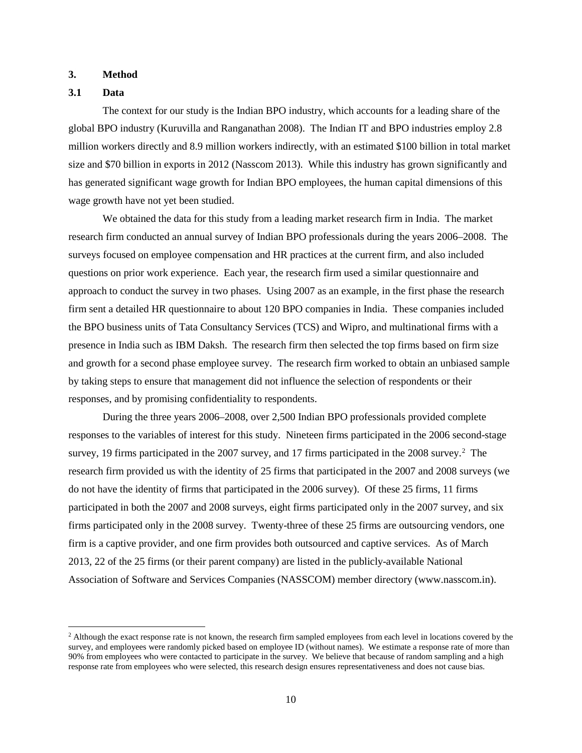#### **3. Method**

## **3.1 Data**

The context for our study is the Indian BPO industry, which accounts for a leading share of the global BPO industry (Kuruvilla and Ranganathan 2008). The Indian IT and BPO industries employ 2.8 million workers directly and 8.9 million workers indirectly, with an estimated \$100 billion in total market size and \$70 billion in exports in 2012 (Nasscom 2013). While this industry has grown significantly and has generated significant wage growth for Indian BPO employees, the human capital dimensions of this wage growth have not yet been studied.

We obtained the data for this study from a leading market research firm in India. The market research firm conducted an annual survey of Indian BPO professionals during the years 2006–2008. The surveys focused on employee compensation and HR practices at the current firm, and also included questions on prior work experience. Each year, the research firm used a similar questionnaire and approach to conduct the survey in two phases. Using 2007 as an example, in the first phase the research firm sent a detailed HR questionnaire to about 120 BPO companies in India. These companies included the BPO business units of Tata Consultancy Services (TCS) and Wipro, and multinational firms with a presence in India such as IBM Daksh. The research firm then selected the top firms based on firm size and growth for a second phase employee survey. The research firm worked to obtain an unbiased sample by taking steps to ensure that management did not influence the selection of respondents or their responses, and by promising confidentiality to respondents.

During the three years 2006–2008, over 2,500 Indian BPO professionals provided complete responses to the variables of interest for this study. Nineteen firms participated in the 2006 second-stage survey, 19 firms participated in the [2](#page-10-0)007 survey, and 17 firms participated in the 2008 survey.<sup>2</sup> The research firm provided us with the identity of 25 firms that participated in the 2007 and 2008 surveys (we do not have the identity of firms that participated in the 2006 survey). Of these 25 firms, 11 firms participated in both the 2007 and 2008 surveys, eight firms participated only in the 2007 survey, and six firms participated only in the 2008 survey. Twenty-three of these 25 firms are outsourcing vendors, one firm is a captive provider, and one firm provides both outsourced and captive services. As of March 2013, 22 of the 25 firms (or their parent company) are listed in the publicly-available National Association of Software and Services Companies (NASSCOM) member directory (www.nasscom.in).

<span id="page-10-0"></span><sup>&</sup>lt;sup>2</sup> Although the exact response rate is not known, the research firm sampled employees from each level in locations covered by the survey, and employees were randomly picked based on employee ID (without names). We estimate a response rate of more than 90% from employees who were contacted to participate in the survey. We believe that because of random sampling and a high response rate from employees who were selected, this research design ensures representativeness and does not cause bias.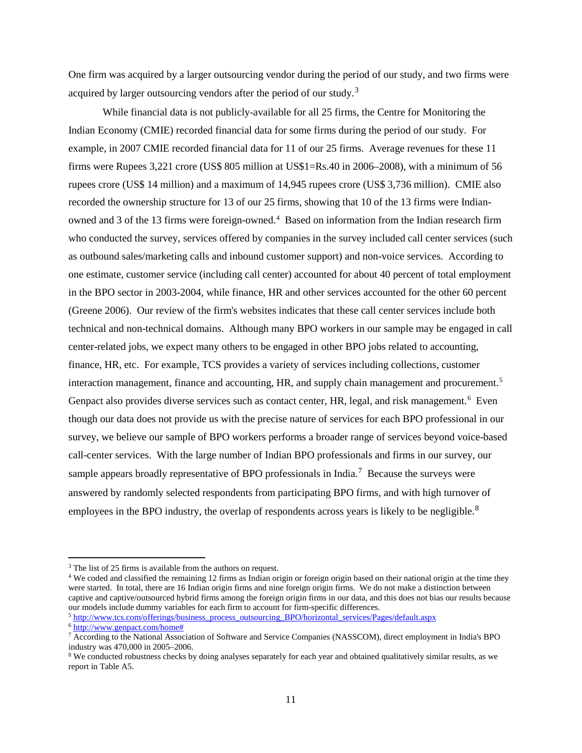One firm was acquired by a larger outsourcing vendor during the period of our study, and two firms were acquired by larger outsourcing vendors after the period of our study.<sup>[3](#page-11-0)</sup>

While financial data is not publicly-available for all 25 firms, the Centre for Monitoring the Indian Economy (CMIE) recorded financial data for some firms during the period of our study. For example, in 2007 CMIE recorded financial data for 11 of our 25 firms. Average revenues for these 11 firms were Rupees 3,221 crore (US\$ 805 million at US\$1=Rs.40 in 2006–2008), with a minimum of 56 rupees crore (US\$ 14 million) and a maximum of 14,945 rupees crore (US\$ 3,736 million). CMIE also recorded the ownership structure for 13 of our 25 firms, showing that 10 of the 13 firms were Indianowned and 3 of the 13 firms were foreign-owned. [4](#page-11-1) Based on information from the Indian research firm who conducted the survey, services offered by companies in the survey included call center services (such as outbound sales/marketing calls and inbound customer support) and non-voice services. According to one estimate, customer service (including call center) accounted for about 40 percent of total employment in the BPO sector in 2003-2004, while finance, HR and other services accounted for the other 60 percent (Greene 2006). Our review of the firm's websites indicates that these call center services include both technical and non-technical domains. Although many BPO workers in our sample may be engaged in call center-related jobs, we expect many others to be engaged in other BPO jobs related to accounting, finance, HR, etc. For example, TCS provides a variety of services including collections, customer interaction management, finance and accounting, HR, and supply chain management and procurement.<sup>5</sup> Genpact also provides diverse services such as contact center, HR, legal, and risk management.<sup>[6](#page-11-3)</sup> Even though our data does not provide us with the precise nature of services for each BPO professional in our survey, we believe our sample of BPO workers performs a broader range of services beyond voice-based call-center services. With the large number of Indian BPO professionals and firms in our survey, our sample appears broadly representative of BPO professionals in India.<sup>[7](#page-11-4)</sup> Because the surveys were answered by randomly selected respondents from participating BPO firms, and with high turnover of employees in the BPO industry, the overlap of respondents across years is likely to be negligible.<sup>[8](#page-11-5)</sup>

<span id="page-11-0"></span><sup>&</sup>lt;sup>3</sup> The list of 25 firms is available from the authors on request.

<span id="page-11-1"></span><sup>4</sup> We coded and classified the remaining 12 firms as Indian origin or foreign origin based on their national origin at the time they were started. In total, there are 16 Indian origin firms and nine foreign origin firms. We do not make a distinction between captive and captive/outsourced hybrid firms among the foreign origin firms in our data, and this does not bias our results because our models include dummy variables for each firm to account for firm-specific differences.<br><sup>5</sup> [http://www.tcs.com/offerings/business\\_process\\_outsourcing\\_BPO/horizontal\\_services/Pages/default.aspx](http://www.tcs.com/offerings/business_process_outsourcing_BPO/horizontal_services/Pages/default.aspx)

<span id="page-11-3"></span><span id="page-11-2"></span><sup>6</sup> [http://www.genpact.com/home#](http://www.genpact.com/home)

<span id="page-11-4"></span><sup>&</sup>lt;sup>7</sup> According to the National Association of Software and Service Companies (NASSCOM), direct employment in India's BPO industry was 470,000 in 2005–2006.

<span id="page-11-5"></span><sup>&</sup>lt;sup>8</sup> We conducted robustness checks by doing analyses separately for each year and obtained qualitatively similar results, as we report in Table A5.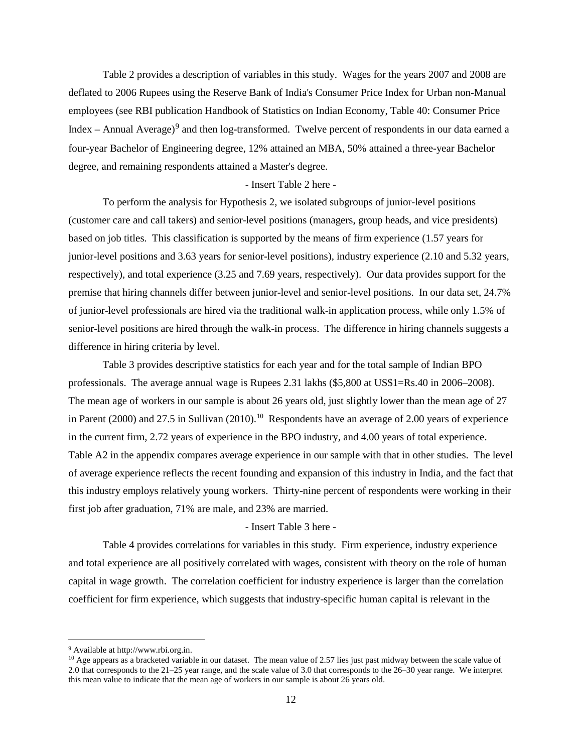Table 2 provides a description of variables in this study. Wages for the years 2007 and 2008 are deflated to 2006 Rupees using the Reserve Bank of India's Consumer Price Index for Urban non-Manual employees (see RBI publication Handbook of Statistics on Indian Economy, Table 40: Consumer Price Index – Annual Average)<sup>[9](#page-12-0)</sup> and then log-transformed. Twelve percent of respondents in our data earned a four-year Bachelor of Engineering degree, 12% attained an MBA, 50% attained a three-year Bachelor degree, and remaining respondents attained a Master's degree.

#### - Insert Table 2 here -

To perform the analysis for Hypothesis 2, we isolated subgroups of junior-level positions (customer care and call takers) and senior-level positions (managers, group heads, and vice presidents) based on job titles. This classification is supported by the means of firm experience (1.57 years for junior-level positions and 3.63 years for senior-level positions), industry experience (2.10 and 5.32 years, respectively), and total experience (3.25 and 7.69 years, respectively). Our data provides support for the premise that hiring channels differ between junior-level and senior-level positions. In our data set, 24.7% of junior-level professionals are hired via the traditional walk-in application process, while only 1.5% of senior-level positions are hired through the walk-in process. The difference in hiring channels suggests a difference in hiring criteria by level.

Table 3 provides descriptive statistics for each year and for the total sample of Indian BPO professionals. The average annual wage is Rupees 2.31 lakhs (\$5,800 at US\$1=Rs.40 in 2006–2008). The mean age of workers in our sample is about 26 years old, just slightly lower than the mean age of 27 in Parent (2000) and 27.5 in Sullivan (2010). [10](#page-12-1) Respondents have an average of 2.00 years of experience in the current firm, 2.72 years of experience in the BPO industry, and 4.00 years of total experience. Table A2 in the appendix compares average experience in our sample with that in other studies. The level of average experience reflects the recent founding and expansion of this industry in India, and the fact that this industry employs relatively young workers. Thirty-nine percent of respondents were working in their first job after graduation, 71% are male, and 23% are married.

## - Insert Table 3 here -

Table 4 provides correlations for variables in this study. Firm experience, industry experience and total experience are all positively correlated with wages, consistent with theory on the role of human capital in wage growth. The correlation coefficient for industry experience is larger than the correlation coefficient for firm experience, which suggests that industry-specific human capital is relevant in the

 <sup>9</sup> Available at [http://www.rbi.org.in.](http://www.rbi.org.in/scripts/AnnualPublications.aspx?head=Handbook%20of%20Statistics%20on%20Indian%20Economy)

<span id="page-12-1"></span><span id="page-12-0"></span><sup>&</sup>lt;sup>10</sup> Age appears as a bracketed variable in our dataset. The mean value of 2.57 lies just past midway between the scale value of 2.0 that corresponds to the 21–25 year range, and the scale value of 3.0 that corresponds to the 26–30 year range. We interpret this mean value to indicate that the mean age of workers in our sample is about 26 years old.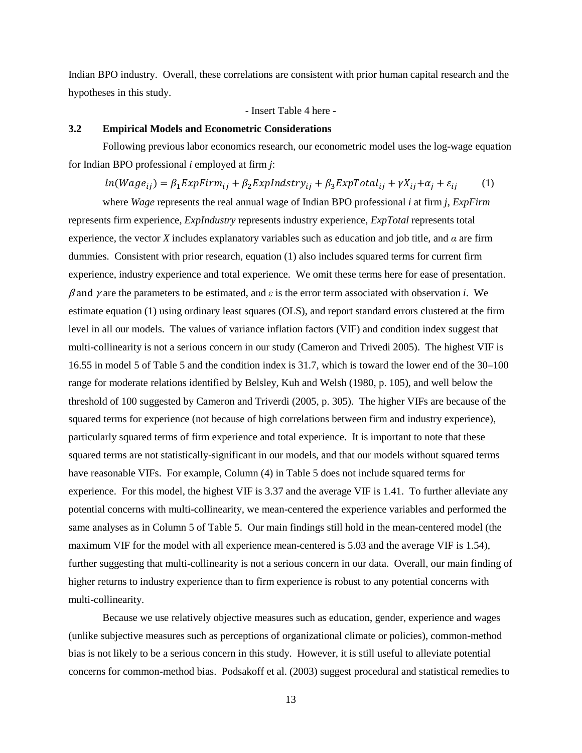Indian BPO industry. Overall, these correlations are consistent with prior human capital research and the hypotheses in this study.

- Insert Table 4 here -

## **3.2 Empirical Models and Econometric Considerations**

Following previous labor economics research, our econometric model uses the log-wage equation for Indian BPO professional *i* employed at firm *j*:

$$
ln(Wage_{ij}) = \beta_1 ExpFirm_{ij} + \beta_2 ExpIndstry_{ij} + \beta_3 ExpTotal_{ij} + \gamma X_{ij} + \alpha_j + \varepsilon_{ij}
$$
 (1)

where *Wage* represents the real annual wage of Indian BPO professional *i* at firm *j*, *ExpFirm* represents firm experience, *ExpIndustry* represents industry experience, *ExpTotal* represents total experience, the vector *X* includes explanatory variables such as education and job title, and *α* are firm dummies. Consistent with prior research, equation (1) also includes squared terms for current firm experience, industry experience and total experience. We omit these terms here for ease of presentation.  $β$  and  $γ$  are the parameters to be estimated, and  $ε$  is the error term associated with observation *i*. We estimate equation (1) using ordinary least squares (OLS), and report standard errors clustered at the firm level in all our models. The values of variance inflation factors (VIF) and condition index suggest that multi-collinearity is not a serious concern in our study (Cameron and Trivedi 2005). The highest VIF is 16.55 in model 5 of Table 5 and the condition index is 31.7, which is toward the lower end of the 30–100 range for moderate relations identified by Belsley, Kuh and Welsh (1980, p. 105), and well below the threshold of 100 suggested by Cameron and Triverdi (2005, p. 305). The higher VIFs are because of the squared terms for experience (not because of high correlations between firm and industry experience), particularly squared terms of firm experience and total experience. It is important to note that these squared terms are not statistically-significant in our models, and that our models without squared terms have reasonable VIFs. For example, Column (4) in Table 5 does not include squared terms for experience. For this model, the highest VIF is 3.37 and the average VIF is 1.41. To further alleviate any potential concerns with multi-collinearity, we mean-centered the experience variables and performed the same analyses as in Column 5 of Table 5. Our main findings still hold in the mean-centered model (the maximum VIF for the model with all experience mean-centered is 5.03 and the average VIF is 1.54), further suggesting that multi-collinearity is not a serious concern in our data. Overall, our main finding of higher returns to industry experience than to firm experience is robust to any potential concerns with multi-collinearity.

Because we use relatively objective measures such as education, gender, experience and wages (unlike subjective measures such as perceptions of organizational climate or policies), common-method bias is not likely to be a serious concern in this study. However, it is still useful to alleviate potential concerns for common-method bias. Podsakoff et al. (2003) suggest procedural and statistical remedies to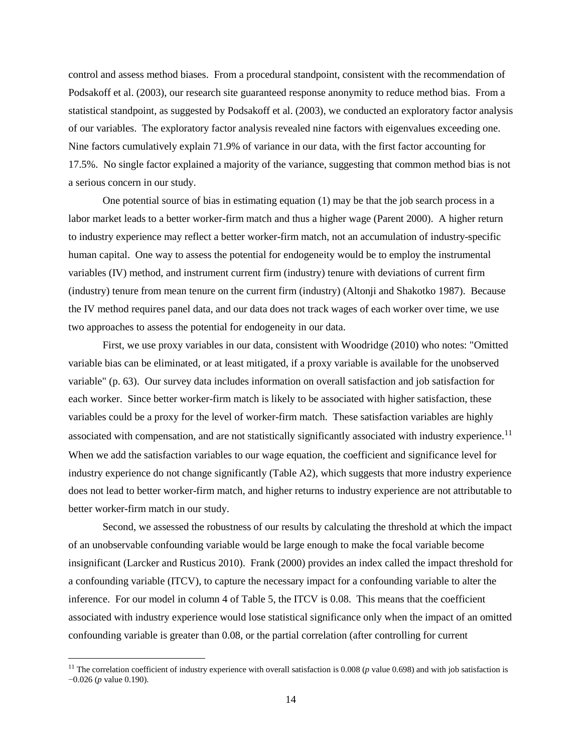control and assess method biases. From a procedural standpoint, consistent with the recommendation of Podsakoff et al. (2003), our research site guaranteed response anonymity to reduce method bias. From a statistical standpoint, as suggested by Podsakoff et al. (2003), we conducted an exploratory factor analysis of our variables. The exploratory factor analysis revealed nine factors with eigenvalues exceeding one. Nine factors cumulatively explain 71.9% of variance in our data, with the first factor accounting for 17.5%. No single factor explained a majority of the variance, suggesting that common method bias is not a serious concern in our study.

One potential source of bias in estimating equation (1) may be that the job search process in a labor market leads to a better worker-firm match and thus a higher wage (Parent 2000). A higher return to industry experience may reflect a better worker-firm match, not an accumulation of industry-specific human capital. One way to assess the potential for endogeneity would be to employ the instrumental variables (IV) method, and instrument current firm (industry) tenure with deviations of current firm (industry) tenure from mean tenure on the current firm (industry) (Altonji and Shakotko 1987). Because the IV method requires panel data, and our data does not track wages of each worker over time, we use two approaches to assess the potential for endogeneity in our data.

First, we use proxy variables in our data, consistent with Woodridge (2010) who notes: "Omitted variable bias can be eliminated, or at least mitigated, if a proxy variable is available for the unobserved variable" (p. 63). Our survey data includes information on overall satisfaction and job satisfaction for each worker. Since better worker-firm match is likely to be associated with higher satisfaction, these variables could be a proxy for the level of worker-firm match. These satisfaction variables are highly associated with compensation, and are not statistically significantly associated with industry experience.<sup>[11](#page-14-0)</sup> When we add the satisfaction variables to our wage equation, the coefficient and significance level for industry experience do not change significantly (Table A2), which suggests that more industry experience does not lead to better worker-firm match, and higher returns to industry experience are not attributable to better worker-firm match in our study.

Second, we assessed the robustness of our results by calculating the threshold at which the impact of an unobservable confounding variable would be large enough to make the focal variable become insignificant (Larcker and Rusticus 2010). Frank (2000) provides an index called the impact threshold for a confounding variable (ITCV), to capture the necessary impact for a confounding variable to alter the inference. For our model in column 4 of Table 5, the ITCV is 0.08. This means that the coefficient associated with industry experience would lose statistical significance only when the impact of an omitted confounding variable is greater than 0.08, or the partial correlation (after controlling for current

<span id="page-14-0"></span><sup>&</sup>lt;sup>11</sup> The correlation coefficient of industry experience with overall satisfaction is 0.008 (*p* value 0.698) and with job satisfaction is −0.026 (*p* value 0.190).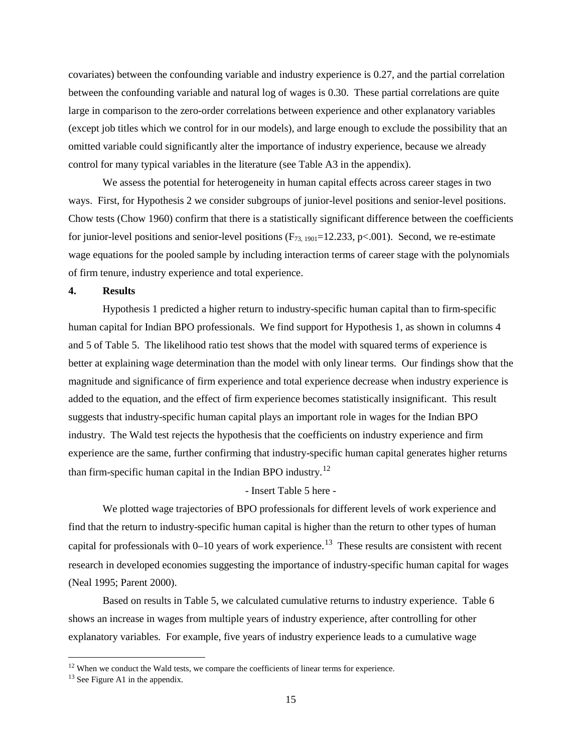covariates) between the confounding variable and industry experience is 0.27, and the partial correlation between the confounding variable and natural log of wages is 0.30. These partial correlations are quite large in comparison to the zero-order correlations between experience and other explanatory variables (except job titles which we control for in our models), and large enough to exclude the possibility that an omitted variable could significantly alter the importance of industry experience, because we already control for many typical variables in the literature (see Table A3 in the appendix).

We assess the potential for heterogeneity in human capital effects across career stages in two ways. First, for Hypothesis 2 we consider subgroups of junior-level positions and senior-level positions. Chow tests (Chow 1960) confirm that there is a statistically significant difference between the coefficients for junior-level positions and senior-level positions  $(F_{73, 1901} = 12.233, p < .001)$ . Second, we re-estimate wage equations for the pooled sample by including interaction terms of career stage with the polynomials of firm tenure, industry experience and total experience.

## **4. Results**

Hypothesis 1 predicted a higher return to industry-specific human capital than to firm-specific human capital for Indian BPO professionals. We find support for Hypothesis 1, as shown in columns 4 and 5 of Table 5. The likelihood ratio test shows that the model with squared terms of experience is better at explaining wage determination than the model with only linear terms. Our findings show that the magnitude and significance of firm experience and total experience decrease when industry experience is added to the equation, and the effect of firm experience becomes statistically insignificant. This result suggests that industry-specific human capital plays an important role in wages for the Indian BPO industry. The Wald test rejects the hypothesis that the coefficients on industry experience and firm experience are the same, further confirming that industry-specific human capital generates higher returns than firm-specific human capital in the Indian BPO industry.<sup>[12](#page-15-0)</sup>

#### - Insert Table 5 here -

We plotted wage trajectories of BPO professionals for different levels of work experience and find that the return to industry-specific human capital is higher than the return to other types of human capital for professionals with  $0-10$  years of work experience.<sup>13</sup> These results are consistent with recent research in developed economies suggesting the importance of industry-specific human capital for wages (Neal 1995; Parent 2000).

Based on results in Table 5, we calculated cumulative returns to industry experience. Table 6 shows an increase in wages from multiple years of industry experience, after controlling for other explanatory variables. For example, five years of industry experience leads to a cumulative wage

<span id="page-15-0"></span> $12$  When we conduct the Wald tests, we compare the coefficients of linear terms for experience.

<span id="page-15-1"></span><sup>&</sup>lt;sup>13</sup> See Figure A1 in the appendix.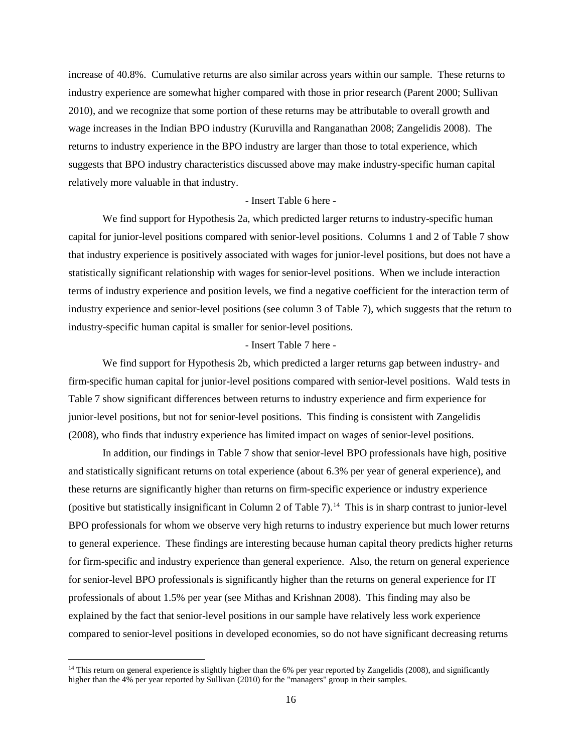increase of 40.8%. Cumulative returns are also similar across years within our sample. These returns to industry experience are somewhat higher compared with those in prior research (Parent 2000; Sullivan 2010), and we recognize that some portion of these returns may be attributable to overall growth and wage increases in the Indian BPO industry (Kuruvilla and Ranganathan 2008; Zangelidis 2008). The returns to industry experience in the BPO industry are larger than those to total experience, which suggests that BPO industry characteristics discussed above may make industry-specific human capital relatively more valuable in that industry.

#### - Insert Table 6 here -

We find support for Hypothesis 2a, which predicted larger returns to industry-specific human capital for junior-level positions compared with senior-level positions. Columns 1 and 2 of Table 7 show that industry experience is positively associated with wages for junior-level positions, but does not have a statistically significant relationship with wages for senior-level positions. When we include interaction terms of industry experience and position levels, we find a negative coefficient for the interaction term of industry experience and senior-level positions (see column 3 of Table 7), which suggests that the return to industry-specific human capital is smaller for senior-level positions.

# - Insert Table 7 here -

We find support for Hypothesis 2b, which predicted a larger returns gap between industry- and firm-specific human capital for junior-level positions compared with senior-level positions. Wald tests in Table 7 show significant differences between returns to industry experience and firm experience for junior-level positions, but not for senior-level positions. This finding is consistent with Zangelidis (2008), who finds that industry experience has limited impact on wages of senior-level positions.

In addition, our findings in Table 7 show that senior-level BPO professionals have high, positive and statistically significant returns on total experience (about 6.3% per year of general experience), and these returns are significantly higher than returns on firm-specific experience or industry experience (positive but statistically insignificant in Column 2 of Table 7).<sup>14</sup> This is in sharp contrast to junior-level BPO professionals for whom we observe very high returns to industry experience but much lower returns to general experience. These findings are interesting because human capital theory predicts higher returns for firm-specific and industry experience than general experience. Also, the return on general experience for senior-level BPO professionals is significantly higher than the returns on general experience for IT professionals of about 1.5% per year (see Mithas and Krishnan 2008). This finding may also be explained by the fact that senior-level positions in our sample have relatively less work experience compared to senior-level positions in developed economies, so do not have significant decreasing returns

<span id="page-16-0"></span> $14$  This return on general experience is slightly higher than the 6% per year reported by Zangelidis (2008), and significantly higher than the 4% per year reported by Sullivan (2010) for the "managers" group in their samples.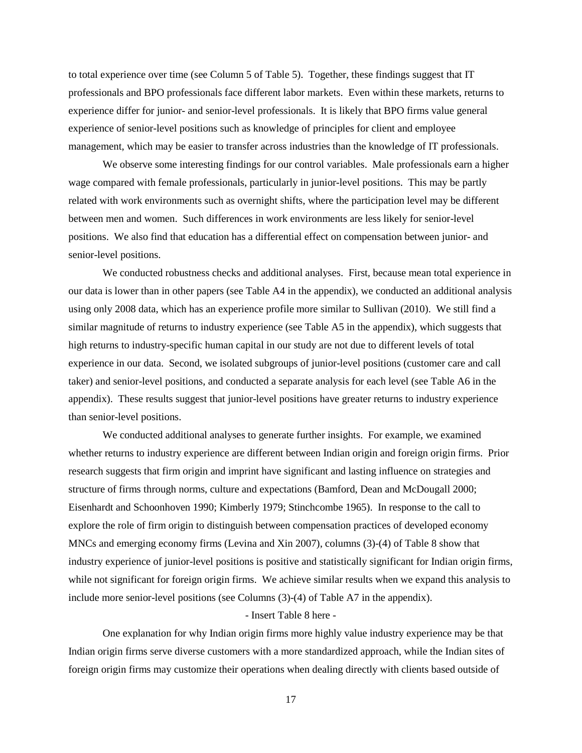to total experience over time (see Column 5 of Table 5). Together, these findings suggest that IT professionals and BPO professionals face different labor markets. Even within these markets, returns to experience differ for junior- and senior-level professionals. It is likely that BPO firms value general experience of senior-level positions such as knowledge of principles for client and employee management, which may be easier to transfer across industries than the knowledge of IT professionals.

We observe some interesting findings for our control variables. Male professionals earn a higher wage compared with female professionals, particularly in junior-level positions. This may be partly related with work environments such as overnight shifts, where the participation level may be different between men and women. Such differences in work environments are less likely for senior-level positions. We also find that education has a differential effect on compensation between junior- and senior-level positions.

We conducted robustness checks and additional analyses. First, because mean total experience in our data is lower than in other papers (see Table A4 in the appendix), we conducted an additional analysis using only 2008 data, which has an experience profile more similar to Sullivan (2010). We still find a similar magnitude of returns to industry experience (see Table A5 in the appendix), which suggests that high returns to industry-specific human capital in our study are not due to different levels of total experience in our data. Second, we isolated subgroups of junior-level positions (customer care and call taker) and senior-level positions, and conducted a separate analysis for each level (see Table A6 in the appendix). These results suggest that junior-level positions have greater returns to industry experience than senior-level positions.

We conducted additional analyses to generate further insights. For example, we examined whether returns to industry experience are different between Indian origin and foreign origin firms. Prior research suggests that firm origin and imprint have significant and lasting influence on strategies and structure of firms through norms, culture and expectations (Bamford, Dean and McDougall 2000; Eisenhardt and Schoonhoven 1990; Kimberly 1979; Stinchcombe 1965). In response to the call to explore the role of firm origin to distinguish between compensation practices of developed economy MNCs and emerging economy firms (Levina and Xin 2007), columns (3)-(4) of Table 8 show that industry experience of junior-level positions is positive and statistically significant for Indian origin firms, while not significant for foreign origin firms. We achieve similar results when we expand this analysis to include more senior-level positions (see Columns (3)-(4) of Table A7 in the appendix).

#### - Insert Table 8 here -

One explanation for why Indian origin firms more highly value industry experience may be that Indian origin firms serve diverse customers with a more standardized approach, while the Indian sites of foreign origin firms may customize their operations when dealing directly with clients based outside of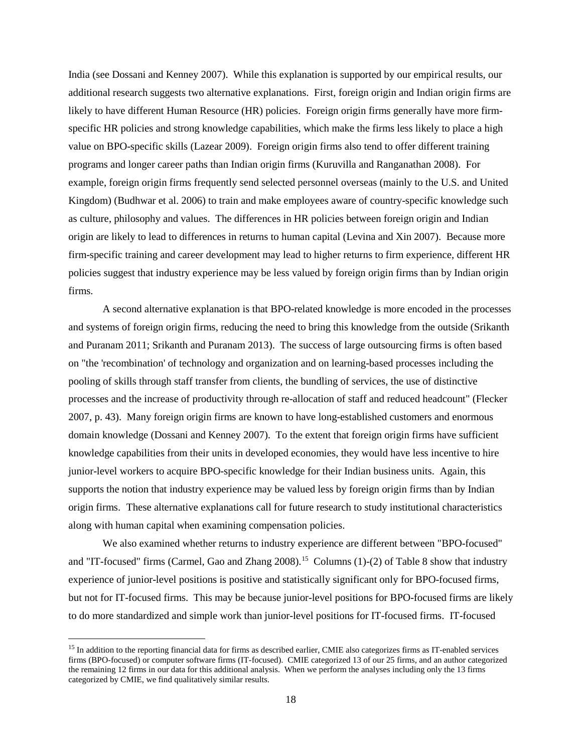India (see Dossani and Kenney 2007). While this explanation is supported by our empirical results, our additional research suggests two alternative explanations. First, foreign origin and Indian origin firms are likely to have different Human Resource (HR) policies. Foreign origin firms generally have more firmspecific HR policies and strong knowledge capabilities, which make the firms less likely to place a high value on BPO-specific skills (Lazear 2009). Foreign origin firms also tend to offer different training programs and longer career paths than Indian origin firms (Kuruvilla and Ranganathan 2008). For example, foreign origin firms frequently send selected personnel overseas (mainly to the U.S. and United Kingdom) (Budhwar et al. 2006) to train and make employees aware of country-specific knowledge such as culture, philosophy and values. The differences in HR policies between foreign origin and Indian origin are likely to lead to differences in returns to human capital (Levina and Xin 2007). Because more firm-specific training and career development may lead to higher returns to firm experience, different HR policies suggest that industry experience may be less valued by foreign origin firms than by Indian origin firms.

A second alternative explanation is that BPO-related knowledge is more encoded in the processes and systems of foreign origin firms, reducing the need to bring this knowledge from the outside (Srikanth and Puranam 2011; Srikanth and Puranam 2013). The success of large outsourcing firms is often based on "the 'recombination' of technology and organization and on learning-based processes including the pooling of skills through staff transfer from clients, the bundling of services, the use of distinctive processes and the increase of productivity through re-allocation of staff and reduced headcount" (Flecker 2007, p. 43). Many foreign origin firms are known to have long-established customers and enormous domain knowledge (Dossani and Kenney 2007). To the extent that foreign origin firms have sufficient knowledge capabilities from their units in developed economies, they would have less incentive to hire junior-level workers to acquire BPO-specific knowledge for their Indian business units. Again, this supports the notion that industry experience may be valued less by foreign origin firms than by Indian origin firms. These alternative explanations call for future research to study institutional characteristics along with human capital when examining compensation policies.

We also examined whether returns to industry experience are different between "BPO-focused" and "IT-focused" firms (Carmel, Gao and Zhang 2008).<sup>[15](#page-18-0)</sup> Columns (1)-(2) of Table 8 show that industry experience of junior-level positions is positive and statistically significant only for BPO-focused firms, but not for IT-focused firms. This may be because junior-level positions for BPO-focused firms are likely to do more standardized and simple work than junior-level positions for IT-focused firms. IT-focused

<span id="page-18-0"></span><sup>&</sup>lt;sup>15</sup> In addition to the reporting financial data for firms as described earlier, CMIE also categorizes firms as IT-enabled services firms (BPO-focused) or computer software firms (IT-focused). CMIE categorized 13 of our 25 firms, and an author categorized the remaining 12 firms in our data for this additional analysis. When we perform the analyses including only the 13 firms categorized by CMIE, we find qualitatively similar results.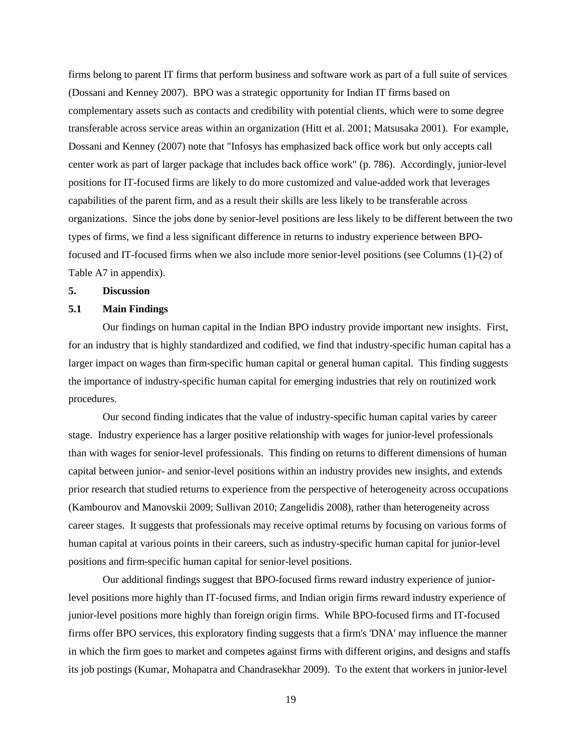firms belong to parent IT firms that perform business and software work as part of a full suite of services (Dossani and Kenney 2007). BPO was a strategic opportunity for Indian IT firms based on complementary assets such as contacts and credibility with potential clients, which were to some degree transferable across service areas within an organization (Hitt et al. 2001; Matsusaka 2001). For example, Dossani and Kenney (2007) note that "Infosys has emphasized back office work but only accepts call center work as part of larger package that includes back office work" (p. 786). Accordingly, junior-level positions for IT-focused firms are likely to do more customized and value-added work that leverages capabilities of the parent firm, and as a result their skills are less likely to be transferable across organizations. Since the jobs done by senior-level positions are less likely to be different between the two types of firms, we find a less significant difference in returns to industry experience between BPOfocused and IT-focused firms when we also include more senior-level positions (see Columns (1)-(2) of Table A7 in appendix).

#### **5. Discussion**

#### **5.1 Main Findings**

Our findings on human capital in the Indian BPO industry provide important new insights. First, for an industry that is highly standardized and codified, we find that industry-specific human capital has a larger impact on wages than firm-specific human capital or general human capital. This finding suggests the importance of industry-specific human capital for emerging industries that rely on routinized work procedures.

Our second finding indicates that the value of industry-specific human capital varies by career stage. Industry experience has a larger positive relationship with wages for junior-level professionals than with wages for senior-level professionals. This finding on returns to different dimensions of human capital between junior- and senior-level positions within an industry provides new insights, and extends prior research that studied returns to experience from the perspective of heterogeneity across occupations (Kambourov and Manovskii 2009; Sullivan 2010; Zangelidis 2008), rather than heterogeneity across career stages. It suggests that professionals may receive optimal returns by focusing on various forms of human capital at various points in their careers, such as industry-specific human capital for junior-level positions and firm-specific human capital for senior-level positions.

Our additional findings suggest that BPO-focused firms reward industry experience of juniorlevel positions more highly than IT-focused firms, and Indian origin firms reward industry experience of junior-level positions more highly than foreign origin firms. While BPO-focused firms and IT-focused firms offer BPO services, this exploratory finding suggests that a firm's 'DNA' may influence the manner in which the firm goes to market and competes against firms with different origins, and designs and staffs its job postings (Kumar, Mohapatra and Chandrasekhar 2009). To the extent that workers in junior-level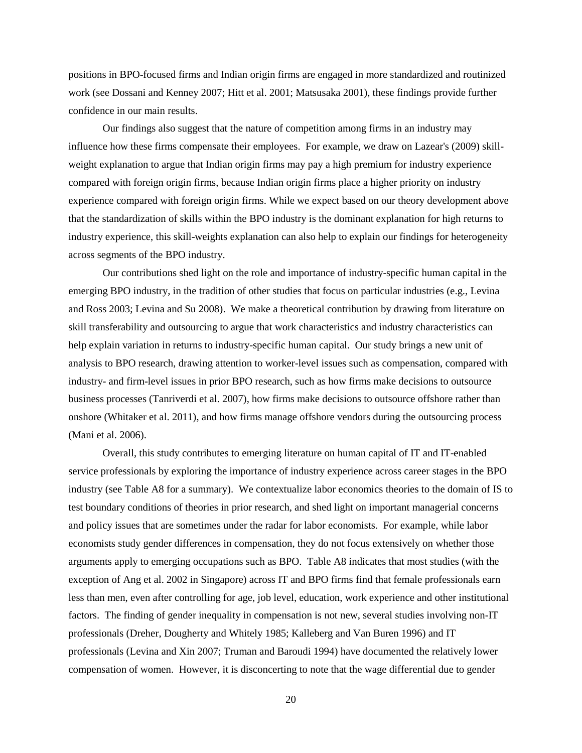positions in BPO-focused firms and Indian origin firms are engaged in more standardized and routinized work (see Dossani and Kenney 2007; Hitt et al. 2001; Matsusaka 2001), these findings provide further confidence in our main results.

Our findings also suggest that the nature of competition among firms in an industry may influence how these firms compensate their employees. For example, we draw on Lazear's (2009) skillweight explanation to argue that Indian origin firms may pay a high premium for industry experience compared with foreign origin firms, because Indian origin firms place a higher priority on industry experience compared with foreign origin firms. While we expect based on our theory development above that the standardization of skills within the BPO industry is the dominant explanation for high returns to industry experience, this skill-weights explanation can also help to explain our findings for heterogeneity across segments of the BPO industry.

Our contributions shed light on the role and importance of industry-specific human capital in the emerging BPO industry, in the tradition of other studies that focus on particular industries (e.g., Levina and Ross 2003; Levina and Su 2008). We make a theoretical contribution by drawing from literature on skill transferability and outsourcing to argue that work characteristics and industry characteristics can help explain variation in returns to industry-specific human capital. Our study brings a new unit of analysis to BPO research, drawing attention to worker-level issues such as compensation, compared with industry- and firm-level issues in prior BPO research, such as how firms make decisions to outsource business processes (Tanriverdi et al. 2007), how firms make decisions to outsource offshore rather than onshore (Whitaker et al. 2011), and how firms manage offshore vendors during the outsourcing process (Mani et al. 2006).

Overall, this study contributes to emerging literature on human capital of IT and IT-enabled service professionals by exploring the importance of industry experience across career stages in the BPO industry (see Table A8 for a summary). We contextualize labor economics theories to the domain of IS to test boundary conditions of theories in prior research, and shed light on important managerial concerns and policy issues that are sometimes under the radar for labor economists. For example, while labor economists study gender differences in compensation, they do not focus extensively on whether those arguments apply to emerging occupations such as BPO. Table A8 indicates that most studies (with the exception of Ang et al. 2002 in Singapore) across IT and BPO firms find that female professionals earn less than men, even after controlling for age, job level, education, work experience and other institutional factors. The finding of gender inequality in compensation is not new, several studies involving non-IT professionals (Dreher, Dougherty and Whitely 1985; Kalleberg and Van Buren 1996) and IT professionals (Levina and Xin 2007; Truman and Baroudi 1994) have documented the relatively lower compensation of women. However, it is disconcerting to note that the wage differential due to gender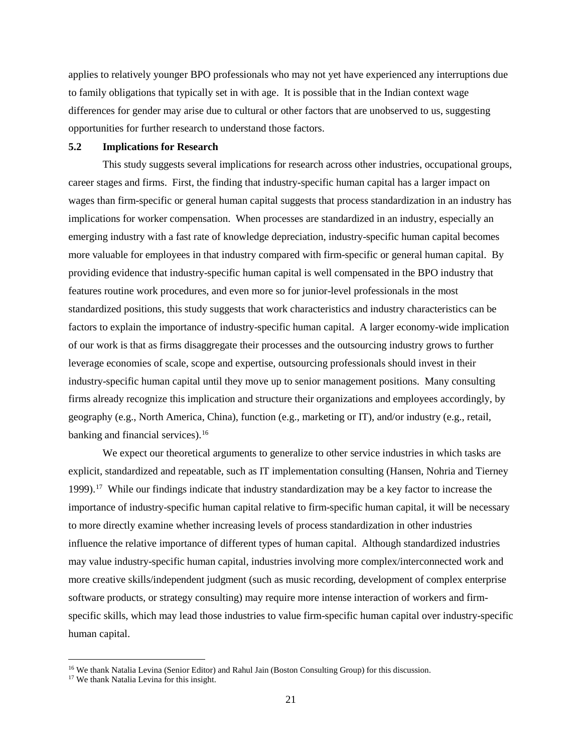applies to relatively younger BPO professionals who may not yet have experienced any interruptions due to family obligations that typically set in with age. It is possible that in the Indian context wage differences for gender may arise due to cultural or other factors that are unobserved to us, suggesting opportunities for further research to understand those factors.

# **5.2 Implications for Research**

This study suggests several implications for research across other industries, occupational groups, career stages and firms. First, the finding that industry-specific human capital has a larger impact on wages than firm-specific or general human capital suggests that process standardization in an industry has implications for worker compensation. When processes are standardized in an industry, especially an emerging industry with a fast rate of knowledge depreciation, industry-specific human capital becomes more valuable for employees in that industry compared with firm-specific or general human capital. By providing evidence that industry-specific human capital is well compensated in the BPO industry that features routine work procedures, and even more so for junior-level professionals in the most standardized positions, this study suggests that work characteristics and industry characteristics can be factors to explain the importance of industry-specific human capital. A larger economy-wide implication of our work is that as firms disaggregate their processes and the outsourcing industry grows to further leverage economies of scale, scope and expertise, outsourcing professionals should invest in their industry-specific human capital until they move up to senior management positions. Many consulting firms already recognize this implication and structure their organizations and employees accordingly, by geography (e.g., North America, China), function (e.g., marketing or IT), and/or industry (e.g., retail, banking and financial services).<sup>16</sup>

We expect our theoretical arguments to generalize to other service industries in which tasks are explicit, standardized and repeatable, such as IT implementation consulting (Hansen, Nohria and Tierney 1999). [17](#page-21-1) While our findings indicate that industry standardization may be a key factor to increase the importance of industry-specific human capital relative to firm-specific human capital, it will be necessary to more directly examine whether increasing levels of process standardization in other industries influence the relative importance of different types of human capital. Although standardized industries may value industry-specific human capital, industries involving more complex/interconnected work and more creative skills/independent judgment (such as music recording, development of complex enterprise software products, or strategy consulting) may require more intense interaction of workers and firmspecific skills, which may lead those industries to value firm-specific human capital over industry-specific human capital.

<span id="page-21-1"></span><span id="page-21-0"></span><sup>&</sup>lt;sup>16</sup> We thank Natalia Levina (Senior Editor) and Rahul Jain (Boston Consulting Group) for this discussion. <sup>17</sup> We thank Natalia Levina for this insight.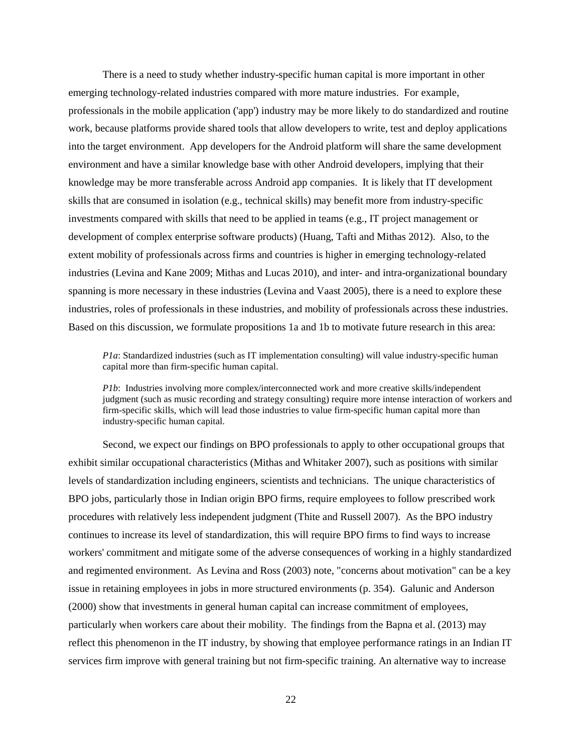There is a need to study whether industry-specific human capital is more important in other emerging technology-related industries compared with more mature industries. For example, professionals in the mobile application ('app') industry may be more likely to do standardized and routine work, because platforms provide shared tools that allow developers to write, test and deploy applications into the target environment. App developers for the Android platform will share the same development environment and have a similar knowledge base with other Android developers, implying that their knowledge may be more transferable across Android app companies. It is likely that IT development skills that are consumed in isolation (e.g., technical skills) may benefit more from industry-specific investments compared with skills that need to be applied in teams (e.g., IT project management or development of complex enterprise software products) (Huang, Tafti and Mithas 2012). Also, to the extent mobility of professionals across firms and countries is higher in emerging technology-related industries (Levina and Kane 2009; Mithas and Lucas 2010), and inter- and intra-organizational boundary spanning is more necessary in these industries (Levina and Vaast 2005), there is a need to explore these industries, roles of professionals in these industries, and mobility of professionals across these industries. Based on this discussion, we formulate propositions 1a and 1b to motivate future research in this area:

*P1a*: Standardized industries (such as IT implementation consulting) will value industry-specific human capital more than firm-specific human capital.

*P1b*: Industries involving more complex/interconnected work and more creative skills/independent judgment (such as music recording and strategy consulting) require more intense interaction of workers and firm-specific skills, which will lead those industries to value firm-specific human capital more than industry-specific human capital.

Second, we expect our findings on BPO professionals to apply to other occupational groups that exhibit similar occupational characteristics (Mithas and Whitaker 2007), such as positions with similar levels of standardization including engineers, scientists and technicians. The unique characteristics of BPO jobs, particularly those in Indian origin BPO firms, require employees to follow prescribed work procedures with relatively less independent judgment (Thite and Russell 2007). As the BPO industry continues to increase its level of standardization, this will require BPO firms to find ways to increase workers' commitment and mitigate some of the adverse consequences of working in a highly standardized and regimented environment. As Levina and Ross (2003) note, "concerns about motivation" can be a key issue in retaining employees in jobs in more structured environments (p. 354). Galunic and Anderson (2000) show that investments in general human capital can increase commitment of employees, particularly when workers care about their mobility. The findings from the Bapna et al. (2013) may reflect this phenomenon in the IT industry, by showing that employee performance ratings in an Indian IT services firm improve with general training but not firm-specific training. An alternative way to increase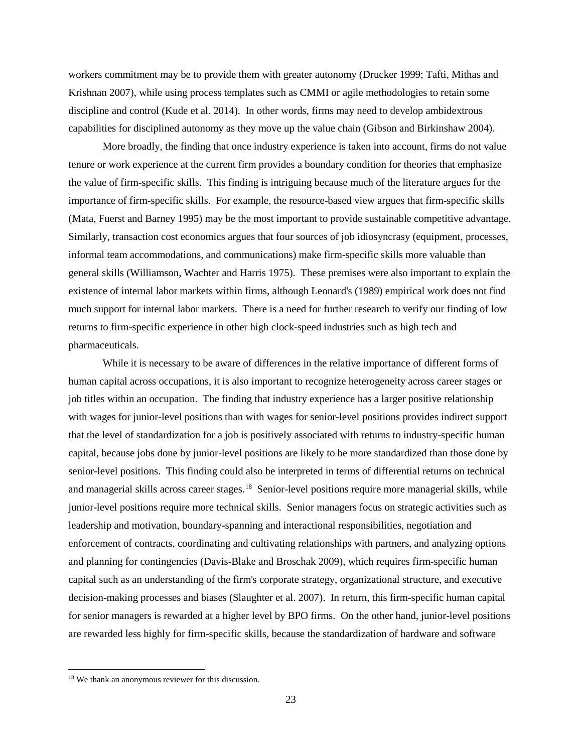workers commitment may be to provide them with greater autonomy (Drucker 1999; Tafti, Mithas and Krishnan 2007), while using process templates such as CMMI or agile methodologies to retain some discipline and control (Kude et al. 2014). In other words, firms may need to develop ambidextrous capabilities for disciplined autonomy as they move up the value chain (Gibson and Birkinshaw 2004).

More broadly, the finding that once industry experience is taken into account, firms do not value tenure or work experience at the current firm provides a boundary condition for theories that emphasize the value of firm-specific skills. This finding is intriguing because much of the literature argues for the importance of firm-specific skills. For example, the resource-based view argues that firm-specific skills (Mata, Fuerst and Barney 1995) may be the most important to provide sustainable competitive advantage. Similarly, transaction cost economics argues that four sources of job idiosyncrasy (equipment, processes, informal team accommodations, and communications) make firm-specific skills more valuable than general skills (Williamson, Wachter and Harris 1975). These premises were also important to explain the existence of internal labor markets within firms, although Leonard's (1989) empirical work does not find much support for internal labor markets. There is a need for further research to verify our finding of low returns to firm-specific experience in other high clock-speed industries such as high tech and pharmaceuticals.

While it is necessary to be aware of differences in the relative importance of different forms of human capital across occupations, it is also important to recognize heterogeneity across career stages or job titles within an occupation. The finding that industry experience has a larger positive relationship with wages for junior-level positions than with wages for senior-level positions provides indirect support that the level of standardization for a job is positively associated with returns to industry-specific human capital, because jobs done by junior-level positions are likely to be more standardized than those done by senior-level positions. This finding could also be interpreted in terms of differential returns on technical and managerial skills across career stages. [18](#page-23-0) Senior-level positions require more managerial skills, while junior-level positions require more technical skills. Senior managers focus on strategic activities such as leadership and motivation, boundary-spanning and interactional responsibilities, negotiation and enforcement of contracts, coordinating and cultivating relationships with partners, and analyzing options and planning for contingencies (Davis-Blake and Broschak 2009), which requires firm-specific human capital such as an understanding of the firm's corporate strategy, organizational structure, and executive decision-making processes and biases (Slaughter et al. 2007). In return, this firm-specific human capital for senior managers is rewarded at a higher level by BPO firms. On the other hand, junior-level positions are rewarded less highly for firm-specific skills, because the standardization of hardware and software

<span id="page-23-0"></span> <sup>18</sup> We thank an anonymous reviewer for this discussion.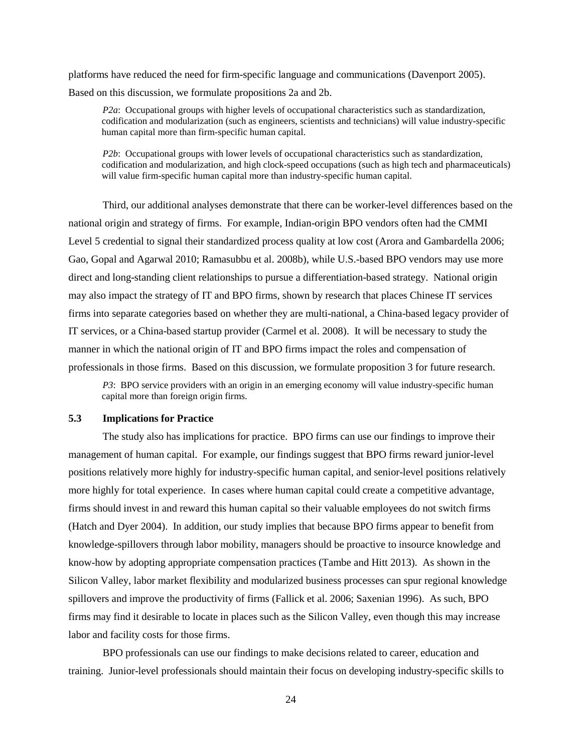platforms have reduced the need for firm-specific language and communications (Davenport 2005). Based on this discussion, we formulate propositions 2a and 2b.

*P2a*: Occupational groups with higher levels of occupational characteristics such as standardization, codification and modularization (such as engineers, scientists and technicians) will value industry-specific human capital more than firm-specific human capital.

*P2b*: Occupational groups with lower levels of occupational characteristics such as standardization, codification and modularization, and high clock-speed occupations (such as high tech and pharmaceuticals) will value firm-specific human capital more than industry-specific human capital.

Third, our additional analyses demonstrate that there can be worker-level differences based on the national origin and strategy of firms. For example, Indian-origin BPO vendors often had the CMMI Level 5 credential to signal their standardized process quality at low cost (Arora and Gambardella 2006; Gao, Gopal and Agarwal 2010; Ramasubbu et al. 2008b), while U.S.-based BPO vendors may use more direct and long-standing client relationships to pursue a differentiation-based strategy. National origin may also impact the strategy of IT and BPO firms, shown by research that places Chinese IT services firms into separate categories based on whether they are multi-national, a China-based legacy provider of IT services, or a China-based startup provider (Carmel et al. 2008). It will be necessary to study the manner in which the national origin of IT and BPO firms impact the roles and compensation of professionals in those firms. Based on this discussion, we formulate proposition 3 for future research.

*P3*: BPO service providers with an origin in an emerging economy will value industry-specific human capital more than foreign origin firms.

## **5.3 Implications for Practice**

The study also has implications for practice. BPO firms can use our findings to improve their management of human capital. For example, our findings suggest that BPO firms reward junior-level positions relatively more highly for industry-specific human capital, and senior-level positions relatively more highly for total experience. In cases where human capital could create a competitive advantage, firms should invest in and reward this human capital so their valuable employees do not switch firms (Hatch and Dyer 2004). In addition, our study implies that because BPO firms appear to benefit from knowledge-spillovers through labor mobility, managers should be proactive to insource knowledge and know-how by adopting appropriate compensation practices (Tambe and Hitt 2013). As shown in the Silicon Valley, labor market flexibility and modularized business processes can spur regional knowledge spillovers and improve the productivity of firms (Fallick et al. 2006; Saxenian 1996). As such, BPO firms may find it desirable to locate in places such as the Silicon Valley, even though this may increase labor and facility costs for those firms.

BPO professionals can use our findings to make decisions related to career, education and training. Junior-level professionals should maintain their focus on developing industry-specific skills to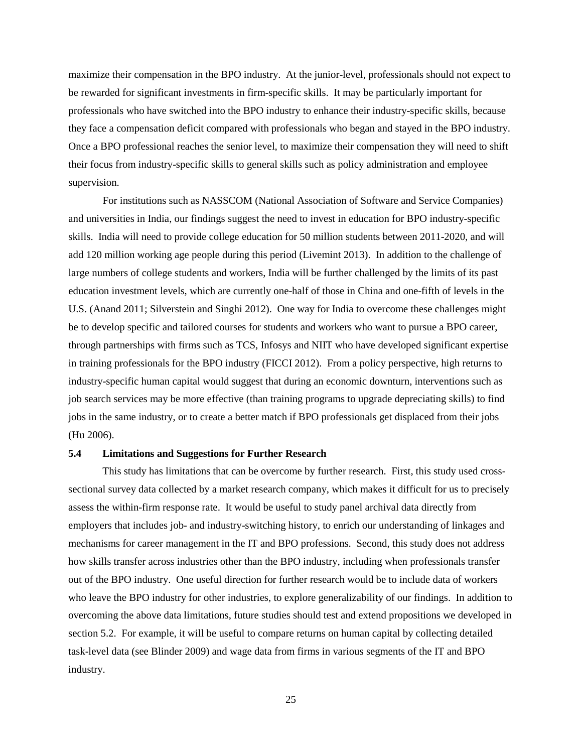maximize their compensation in the BPO industry. At the junior-level, professionals should not expect to be rewarded for significant investments in firm-specific skills. It may be particularly important for professionals who have switched into the BPO industry to enhance their industry-specific skills, because they face a compensation deficit compared with professionals who began and stayed in the BPO industry. Once a BPO professional reaches the senior level, to maximize their compensation they will need to shift their focus from industry-specific skills to general skills such as policy administration and employee supervision.

For institutions such as NASSCOM (National Association of Software and Service Companies) and universities in India, our findings suggest the need to invest in education for BPO industry-specific skills. India will need to provide college education for 50 million students between 2011-2020, and will add 120 million working age people during this period (Livemint 2013). In addition to the challenge of large numbers of college students and workers, India will be further challenged by the limits of its past education investment levels, which are currently one-half of those in China and one-fifth of levels in the U.S. (Anand 2011; Silverstein and Singhi 2012). One way for India to overcome these challenges might be to develop specific and tailored courses for students and workers who want to pursue a BPO career, through partnerships with firms such as TCS, Infosys and NIIT who have developed significant expertise in training professionals for the BPO industry (FICCI 2012). From a policy perspective, high returns to industry-specific human capital would suggest that during an economic downturn, interventions such as job search services may be more effective (than training programs to upgrade depreciating skills) to find jobs in the same industry, or to create a better match if BPO professionals get displaced from their jobs (Hu 2006).

#### **5.4 Limitations and Suggestions for Further Research**

This study has limitations that can be overcome by further research. First, this study used crosssectional survey data collected by a market research company, which makes it difficult for us to precisely assess the within-firm response rate. It would be useful to study panel archival data directly from employers that includes job- and industry-switching history, to enrich our understanding of linkages and mechanisms for career management in the IT and BPO professions. Second, this study does not address how skills transfer across industries other than the BPO industry, including when professionals transfer out of the BPO industry. One useful direction for further research would be to include data of workers who leave the BPO industry for other industries, to explore generalizability of our findings. In addition to overcoming the above data limitations, future studies should test and extend propositions we developed in section 5.2. For example, it will be useful to compare returns on human capital by collecting detailed task-level data (see Blinder 2009) and wage data from firms in various segments of the IT and BPO industry.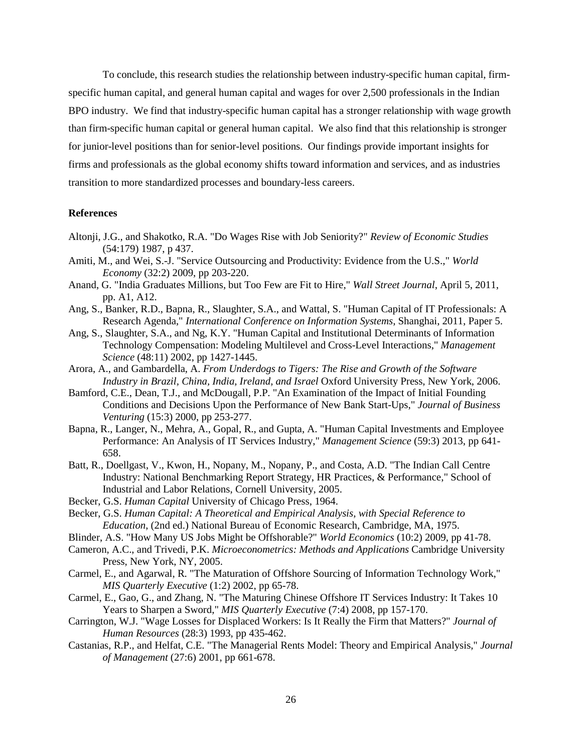To conclude, this research studies the relationship between industry-specific human capital, firmspecific human capital, and general human capital and wages for over 2,500 professionals in the Indian BPO industry. We find that industry-specific human capital has a stronger relationship with wage growth than firm-specific human capital or general human capital. We also find that this relationship is stronger for junior-level positions than for senior-level positions. Our findings provide important insights for firms and professionals as the global economy shifts toward information and services, and as industries transition to more standardized processes and boundary-less careers.

#### **References**

- Altonji, J.G., and Shakotko, R.A. "Do Wages Rise with Job Seniority?" *Review of Economic Studies* (54:179) 1987, p 437.
- Amiti, M., and Wei, S.-J. "Service Outsourcing and Productivity: Evidence from the U.S.," *World Economy* (32:2) 2009, pp 203-220.
- Anand, G. "India Graduates Millions, but Too Few are Fit to Hire," *Wall Street Journal*, April 5, 2011, pp. A1, A12.
- Ang, S., Banker, R.D., Bapna, R., Slaughter, S.A., and Wattal, S. "Human Capital of IT Professionals: A Research Agenda," *International Conference on Information Systems*, Shanghai, 2011, Paper 5.
- Ang, S., Slaughter, S.A., and Ng, K.Y. "Human Capital and Institutional Determinants of Information Technology Compensation: Modeling Multilevel and Cross-Level Interactions," *Management Science* (48:11) 2002, pp 1427-1445.
- Arora, A., and Gambardella, A. *From Underdogs to Tigers: The Rise and Growth of the Software Industry in Brazil, China, India, Ireland, and Israel* Oxford University Press, New York, 2006.
- Bamford, C.E., Dean, T.J., and McDougall, P.P. "An Examination of the Impact of Initial Founding Conditions and Decisions Upon the Performance of New Bank Start-Ups," *Journal of Business Venturing* (15:3) 2000, pp 253-277.
- Bapna, R., Langer, N., Mehra, A., Gopal, R., and Gupta, A. "Human Capital Investments and Employee Performance: An Analysis of IT Services Industry," *Management Science* (59:3) 2013, pp 641- 658.
- Batt, R., Doellgast, V., Kwon, H., Nopany, M., Nopany, P., and Costa, A.D. "The Indian Call Centre Industry: National Benchmarking Report Strategy, HR Practices, & Performance," School of Industrial and Labor Relations, Cornell University, 2005.
- Becker, G.S. *Human Capital* University of Chicago Press, 1964.
- Becker, G.S. *Human Capital: A Theoretical and Empirical Analysis, with Special Reference to Education*, (2nd ed.) National Bureau of Economic Research, Cambridge, MA, 1975.
- Blinder, A.S. "How Many US Jobs Might be Offshorable?" *World Economics* (10:2) 2009, pp 41-78.
- Cameron, A.C., and Trivedi, P.K. *Microeconometrics: Methods and Applications* Cambridge University Press, New York, NY, 2005.
- Carmel, E., and Agarwal, R. "The Maturation of Offshore Sourcing of Information Technology Work," *MIS Quarterly Executive* (1:2) 2002, pp 65-78.
- Carmel, E., Gao, G., and Zhang, N. "The Maturing Chinese Offshore IT Services Industry: It Takes 10 Years to Sharpen a Sword," *MIS Quarterly Executive* (7:4) 2008, pp 157-170.
- Carrington, W.J. "Wage Losses for Displaced Workers: Is It Really the Firm that Matters?" *Journal of Human Resources* (28:3) 1993, pp 435-462.
- Castanias, R.P., and Helfat, C.E. "The Managerial Rents Model: Theory and Empirical Analysis," *Journal of Management* (27:6) 2001, pp 661-678.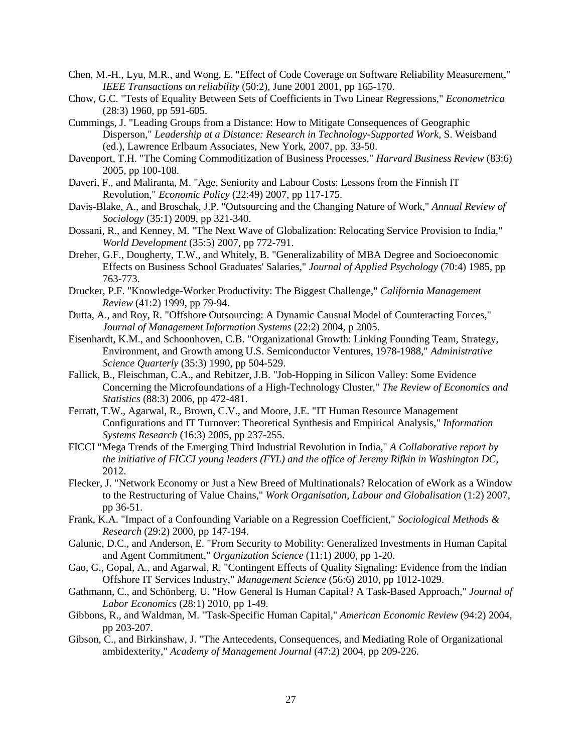- Chen, M.-H., Lyu, M.R., and Wong, E. "Effect of Code Coverage on Software Reliability Measurement," *IEEE Transactions on reliability* (50:2), June 2001 2001, pp 165-170.
- Chow, G.C. "Tests of Equality Between Sets of Coefficients in Two Linear Regressions," *Econometrica* (28:3) 1960, pp 591-605.
- Cummings, J. "Leading Groups from a Distance: How to Mitigate Consequences of Geographic Disperson," *Leadership at a Distance: Research in Technology-Supported Work,* S. Weisband (ed.), Lawrence Erlbaum Associates, New York, 2007, pp. 33-50.
- Davenport, T.H. "The Coming Commoditization of Business Processes," *Harvard Business Review* (83:6) 2005, pp 100-108.
- Daveri, F., and Maliranta, M. "Age, Seniority and Labour Costs: Lessons from the Finnish IT Revolution," *Economic Policy* (22:49) 2007, pp 117-175.
- Davis-Blake, A., and Broschak, J.P. "Outsourcing and the Changing Nature of Work," *Annual Review of Sociology* (35:1) 2009, pp 321-340.
- Dossani, R., and Kenney, M. "The Next Wave of Globalization: Relocating Service Provision to India," *World Development* (35:5) 2007, pp 772-791.
- Dreher, G.F., Dougherty, T.W., and Whitely, B. "Generalizability of MBA Degree and Socioeconomic Effects on Business School Graduates' Salaries," *Journal of Applied Psychology* (70:4) 1985, pp 763-773.
- Drucker, P.F. "Knowledge-Worker Productivity: The Biggest Challenge," *California Management Review* (41:2) 1999, pp 79-94.
- Dutta, A., and Roy, R. "Offshore Outsourcing: A Dynamic Causual Model of Counteracting Forces," *Journal of Management Information Systems* (22:2) 2004, p 2005.
- Eisenhardt, K.M., and Schoonhoven, C.B. "Organizational Growth: Linking Founding Team, Strategy, Environment, and Growth among U.S. Semiconductor Ventures, 1978-1988," *Administrative Science Quarterly* (35:3) 1990, pp 504-529.
- Fallick, B., Fleischman, C.A., and Rebitzer, J.B. "Job-Hopping in Silicon Valley: Some Evidence Concerning the Microfoundations of a High-Technology Cluster," *The Review of Economics and Statistics* (88:3) 2006, pp 472-481.
- Ferratt, T.W., Agarwal, R., Brown, C.V., and Moore, J.E. "IT Human Resource Management Configurations and IT Turnover: Theoretical Synthesis and Empirical Analysis," *Information Systems Research* (16:3) 2005, pp 237-255.
- FICCI "Mega Trends of the Emerging Third Industrial Revolution in India," *A Collaborative report by the initiative of FICCI young leaders (FYL) and the office of Jeremy Rifkin in Washington DC*, 2012.
- Flecker, J. "Network Economy or Just a New Breed of Multinationals? Relocation of eWork as a Window to the Restructuring of Value Chains," *Work Organisation, Labour and Globalisation* (1:2) 2007, pp 36-51.
- Frank, K.A. "Impact of a Confounding Variable on a Regression Coefficient," *Sociological Methods & Research* (29:2) 2000, pp 147-194.
- Galunic, D.C., and Anderson, E. "From Security to Mobility: Generalized Investments in Human Capital and Agent Commitment," *Organization Science* (11:1) 2000, pp 1-20.
- Gao, G., Gopal, A., and Agarwal, R. "Contingent Effects of Quality Signaling: Evidence from the Indian Offshore IT Services Industry," *Management Science* (56:6) 2010, pp 1012-1029.
- Gathmann, C., and Schönberg, U. "How General Is Human Capital? A Task-Based Approach," *Journal of Labor Economics* (28:1) 2010, pp 1-49.
- Gibbons, R., and Waldman, M. "Task-Specific Human Capital," *American Economic Review* (94:2) 2004, pp 203-207.
- Gibson, C., and Birkinshaw, J. "The Antecedents, Consequences, and Mediating Role of Organizational ambidexterity," *Academy of Management Journal* (47:2) 2004, pp 209-226.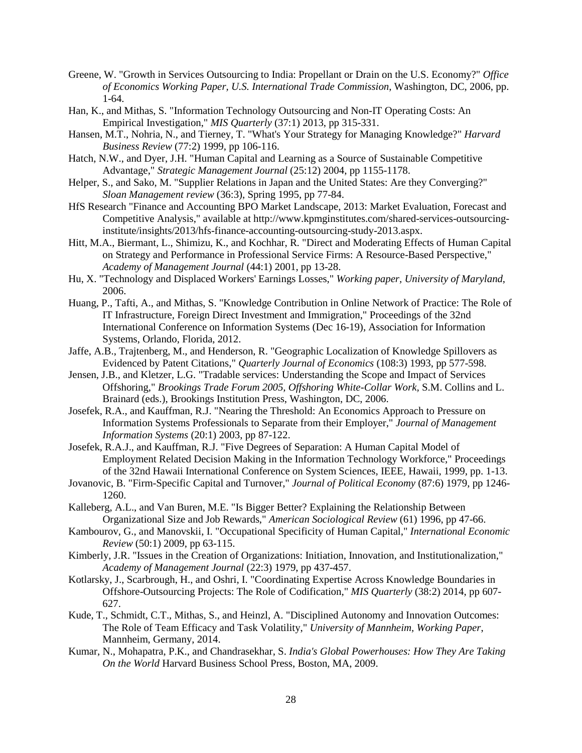- Greene, W. "Growth in Services Outsourcing to India: Propellant or Drain on the U.S. Economy?" *Office of Economics Working Paper, U.S. International Trade Commission*, Washington, DC, 2006, pp. 1-64.
- Han, K., and Mithas, S. "Information Technology Outsourcing and Non-IT Operating Costs: An Empirical Investigation," *MIS Quarterly* (37:1) 2013, pp 315-331.
- Hansen, M.T., Nohria, N., and Tierney, T. "What's Your Strategy for Managing Knowledge?" *Harvard Business Review* (77:2) 1999, pp 106-116.
- Hatch, N.W., and Dyer, J.H. "Human Capital and Learning as a Source of Sustainable Competitive Advantage," *Strategic Management Journal* (25:12) 2004, pp 1155-1178.
- Helper, S., and Sako, M. "Supplier Relations in Japan and the United States: Are they Converging?" *Sloan Management review* (36:3), Spring 1995, pp 77-84.
- HfS Research "Finance and Accounting BPO Market Landscape, 2013: Market Evaluation, Forecast and Competitive Analysis," available at http://www.kpmginstitutes.com/shared-services-outsourcinginstitute/insights/2013/hfs-finance-accounting-outsourcing-study-2013.aspx.
- Hitt, M.A., Biermant, L., Shimizu, K., and Kochhar, R. "Direct and Moderating Effects of Human Capital on Strategy and Performance in Professional Service Firms: A Resource-Based Perspective," *Academy of Management Journal* (44:1) 2001, pp 13-28.
- Hu, X. "Technology and Displaced Workers' Earnings Losses," *Working paper, University of Maryland*, 2006.
- Huang, P., Tafti, A., and Mithas, S. "Knowledge Contribution in Online Network of Practice: The Role of IT Infrastructure, Foreign Direct Investment and Immigration," Proceedings of the 32nd International Conference on Information Systems (Dec 16-19), Association for Information Systems, Orlando, Florida, 2012.
- Jaffe, A.B., Trajtenberg, M., and Henderson, R. "Geographic Localization of Knowledge Spillovers as Evidenced by Patent Citations," *Quarterly Journal of Economics* (108:3) 1993, pp 577-598.
- Jensen, J.B., and Kletzer, L.G. "Tradable services: Understanding the Scope and Impact of Services Offshoring," *Brookings Trade Forum 2005, Offshoring White-Collar Work,* S.M. Collins and L. Brainard (eds.), Brookings Institution Press, Washington, DC, 2006.
- Josefek, R.A., and Kauffman, R.J. "Nearing the Threshold: An Economics Approach to Pressure on Information Systems Professionals to Separate from their Employer," *Journal of Management Information Systems* (20:1) 2003, pp 87-122.
- Josefek, R.A.J., and Kauffman, R.J. "Five Degrees of Separation: A Human Capital Model of Employment Related Decision Making in the Information Technology Workforce," Proceedings of the 32nd Hawaii International Conference on System Sciences, IEEE, Hawaii, 1999, pp. 1-13.
- Jovanovic, B. "Firm-Specific Capital and Turnover," *Journal of Political Economy* (87:6) 1979, pp 1246- 1260.
- Kalleberg, A.L., and Van Buren, M.E. "Is Bigger Better? Explaining the Relationship Between Organizational Size and Job Rewards," *American Sociological Review* (61) 1996, pp 47-66.
- Kambourov, G., and Manovskii, I. "Occupational Specificity of Human Capital," *International Economic Review* (50:1) 2009, pp 63-115.
- Kimberly, J.R. "Issues in the Creation of Organizations: Initiation, Innovation, and Institutionalization," *Academy of Management Journal* (22:3) 1979, pp 437-457.
- Kotlarsky, J., Scarbrough, H., and Oshri, I. "Coordinating Expertise Across Knowledge Boundaries in Offshore-Outsourcing Projects: The Role of Codification," *MIS Quarterly* (38:2) 2014, pp 607- 627.
- Kude, T., Schmidt, C.T., Mithas, S., and Heinzl, A. "Disciplined Autonomy and Innovation Outcomes: The Role of Team Efficacy and Task Volatility," *University of Mannheim, Working Paper*, Mannheim, Germany, 2014.
- Kumar, N., Mohapatra, P.K., and Chandrasekhar, S. *India's Global Powerhouses: How They Are Taking On the World* Harvard Business School Press, Boston, MA, 2009.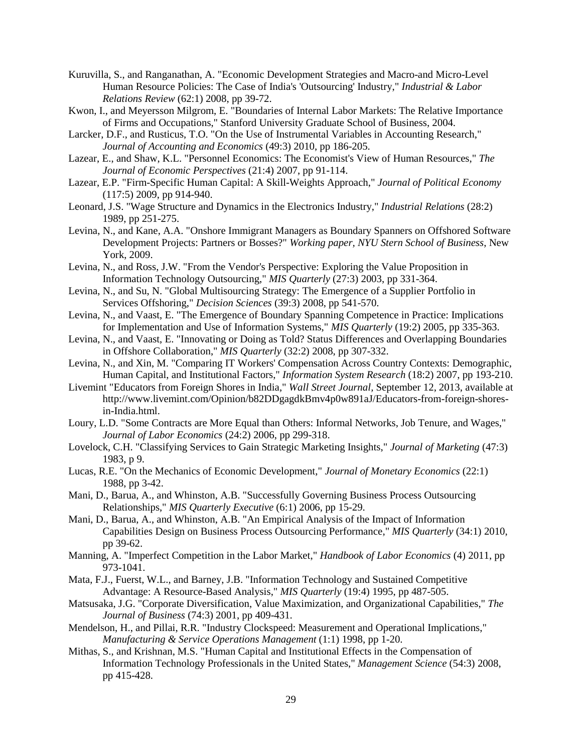- Kuruvilla, S., and Ranganathan, A. "Economic Development Strategies and Macro-and Micro-Level Human Resource Policies: The Case of India's 'Outsourcing' Industry," *Industrial & Labor Relations Review* (62:1) 2008, pp 39-72.
- Kwon, I., and Meyersson Milgrom, E. "Boundaries of Internal Labor Markets: The Relative Importance of Firms and Occupations," Stanford University Graduate School of Business, 2004.
- Larcker, D.F., and Rusticus, T.O. "On the Use of Instrumental Variables in Accounting Research," *Journal of Accounting and Economics* (49:3) 2010, pp 186-205.
- Lazear, E., and Shaw, K.L. "Personnel Economics: The Economist's View of Human Resources," *The Journal of Economic Perspectives* (21:4) 2007, pp 91-114.
- Lazear, E.P. "Firm-Specific Human Capital: A Skill-Weights Approach," *Journal of Political Economy* (117:5) 2009, pp 914-940.
- Leonard, J.S. "Wage Structure and Dynamics in the Electronics Industry," *Industrial Relations* (28:2) 1989, pp 251-275.
- Levina, N., and Kane, A.A. "Onshore Immigrant Managers as Boundary Spanners on Offshored Software Development Projects: Partners or Bosses?" *Working paper, NYU Stern School of Business*, New York, 2009.
- Levina, N., and Ross, J.W. "From the Vendor's Perspective: Exploring the Value Proposition in Information Technology Outsourcing," *MIS Quarterly* (27:3) 2003, pp 331-364.
- Levina, N., and Su, N. "Global Multisourcing Strategy: The Emergence of a Supplier Portfolio in Services Offshoring," *Decision Sciences* (39:3) 2008, pp 541-570.
- Levina, N., and Vaast, E. "The Emergence of Boundary Spanning Competence in Practice: Implications for Implementation and Use of Information Systems," *MIS Quarterly* (19:2) 2005, pp 335-363.
- Levina, N., and Vaast, E. "Innovating or Doing as Told? Status Differences and Overlapping Boundaries in Offshore Collaboration," *MIS Quarterly* (32:2) 2008, pp 307-332.
- Levina, N., and Xin, M. "Comparing IT Workers' Compensation Across Country Contexts: Demographic, Human Capital, and Institutional Factors," *Information System Research* (18:2) 2007, pp 193-210.
- Livemint "Educators from Foreign Shores in India," *Wall Street Journal,* September 12, 2013, available at http://www.livemint.com/Opinion/b82DDgagdkBmv4p0w891aJ/Educators-from-foreign-shoresin-India.html.
- Loury, L.D. "Some Contracts are More Equal than Others: Informal Networks, Job Tenure, and Wages," *Journal of Labor Economics* (24:2) 2006, pp 299-318.
- Lovelock, C.H. "Classifying Services to Gain Strategic Marketing Insights," *Journal of Marketing* (47:3) 1983, p 9.
- Lucas, R.E. "On the Mechanics of Economic Development," *Journal of Monetary Economics* (22:1) 1988, pp 3-42.
- Mani, D., Barua, A., and Whinston, A.B. "Successfully Governing Business Process Outsourcing Relationships," *MIS Quarterly Executive* (6:1) 2006, pp 15-29.
- Mani, D., Barua, A., and Whinston, A.B. "An Empirical Analysis of the Impact of Information Capabilities Design on Business Process Outsourcing Performance," *MIS Quarterly* (34:1) 2010, pp 39-62.
- Manning, A. "Imperfect Competition in the Labor Market," *Handbook of Labor Economics* (4) 2011, pp 973-1041.
- Mata, F.J., Fuerst, W.L., and Barney, J.B. "Information Technology and Sustained Competitive Advantage: A Resource-Based Analysis," *MIS Quarterly* (19:4) 1995, pp 487-505.
- Matsusaka, J.G. "Corporate Diversification, Value Maximization, and Organizational Capabilities," *The Journal of Business* (74:3) 2001, pp 409-431.
- Mendelson, H., and Pillai, R.R. "Industry Clockspeed: Measurement and Operational Implications," *Manufacturing & Service Operations Management* (1:1) 1998, pp 1-20.
- Mithas, S., and Krishnan, M.S. "Human Capital and Institutional Effects in the Compensation of Information Technology Professionals in the United States," *Management Science* (54:3) 2008, pp 415-428.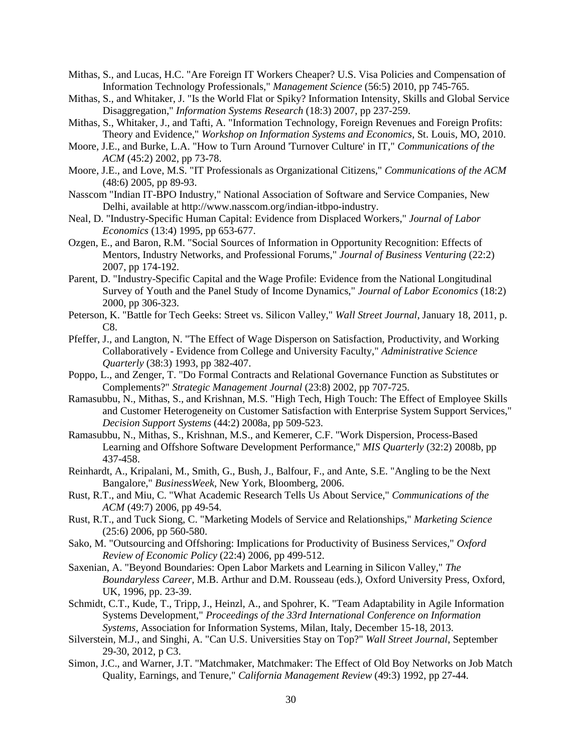- Mithas, S., and Lucas, H.C. "Are Foreign IT Workers Cheaper? U.S. Visa Policies and Compensation of Information Technology Professionals," *Management Science* (56:5) 2010, pp 745-765.
- Mithas, S., and Whitaker, J. "Is the World Flat or Spiky? Information Intensity, Skills and Global Service Disaggregation," *Information Systems Research* (18:3) 2007, pp 237-259.
- Mithas, S., Whitaker, J., and Tafti, A. "Information Technology, Foreign Revenues and Foreign Profits: Theory and Evidence," *Workshop on Information Systems and Economics*, St. Louis, MO, 2010.
- Moore, J.E., and Burke, L.A. "How to Turn Around 'Turnover Culture' in IT," *Communications of the ACM* (45:2) 2002, pp 73-78.
- Moore, J.E., and Love, M.S. "IT Professionals as Organizational Citizens," *Communications of the ACM* (48:6) 2005, pp 89-93.
- Nasscom "Indian IT-BPO Industry," National Association of Software and Service Companies, New Delhi, available at http://www.nasscom.org/indian-itbpo-industry.
- Neal, D. "Industry-Specific Human Capital: Evidence from Displaced Workers," *Journal of Labor Economics* (13:4) 1995, pp 653-677.
- Ozgen, E., and Baron, R.M. "Social Sources of Information in Opportunity Recognition: Effects of Mentors, Industry Networks, and Professional Forums," *Journal of Business Venturing* (22:2) 2007, pp 174-192.
- Parent, D. "Industry-Specific Capital and the Wage Profile: Evidence from the National Longitudinal Survey of Youth and the Panel Study of Income Dynamics," *Journal of Labor Economics* (18:2) 2000, pp 306-323.
- Peterson, K. "Battle for Tech Geeks: Street vs. Silicon Valley," *Wall Street Journal*, January 18, 2011, p.  $C8$
- Pfeffer, J., and Langton, N. "The Effect of Wage Disperson on Satisfaction, Productivity, and Working Collaboratively - Evidence from College and University Faculty," *Administrative Science Quarterly* (38:3) 1993, pp 382-407.
- Poppo, L., and Zenger, T. "Do Formal Contracts and Relational Governance Function as Substitutes or Complements?" *Strategic Management Journal* (23:8) 2002, pp 707-725.
- Ramasubbu, N., Mithas, S., and Krishnan, M.S. "High Tech, High Touch: The Effect of Employee Skills and Customer Heterogeneity on Customer Satisfaction with Enterprise System Support Services," *Decision Support Systems* (44:2) 2008a, pp 509-523.
- Ramasubbu, N., Mithas, S., Krishnan, M.S., and Kemerer, C.F. "Work Dispersion, Process-Based Learning and Offshore Software Development Performance," *MIS Quarterly* (32:2) 2008b, pp 437-458.
- Reinhardt, A., Kripalani, M., Smith, G., Bush, J., Balfour, F., and Ante, S.E. "Angling to be the Next Bangalore," *BusinessWeek*, New York, Bloomberg, 2006.
- Rust, R.T., and Miu, C. "What Academic Research Tells Us About Service," *Communications of the ACM* (49:7) 2006, pp 49-54.
- Rust, R.T., and Tuck Siong, C. "Marketing Models of Service and Relationships," *Marketing Science* (25:6) 2006, pp 560-580.
- Sako, M. "Outsourcing and Offshoring: Implications for Productivity of Business Services," *Oxford Review of Economic Policy* (22:4) 2006, pp 499-512.
- Saxenian, A. "Beyond Boundaries: Open Labor Markets and Learning in Silicon Valley," *The Boundaryless Career,* M.B. Arthur and D.M. Rousseau (eds.), Oxford University Press, Oxford, UK, 1996, pp. 23-39.
- Schmidt, C.T., Kude, T., Tripp, J., Heinzl, A., and Spohrer, K. "Team Adaptability in Agile Information Systems Development," *Proceedings of the 33rd International Conference on Information Systems*, Association for Information Systems, Milan, Italy, December 15-18, 2013.
- Silverstein, M.J., and Singhi, A. "Can U.S. Universities Stay on Top?" *Wall Street Journal*, September 29-30, 2012, p C3.
- Simon, J.C., and Warner, J.T. "Matchmaker, Matchmaker: The Effect of Old Boy Networks on Job Match Quality, Earnings, and Tenure," *California Management Review* (49:3) 1992, pp 27-44.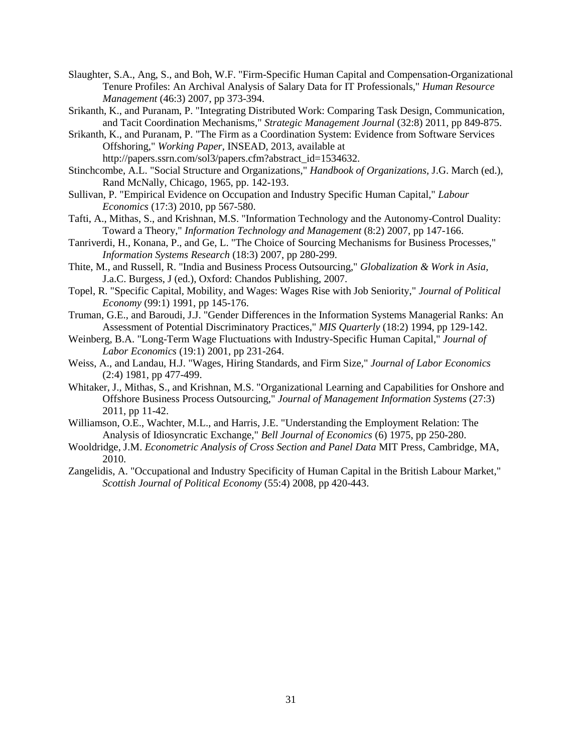- Slaughter, S.A., Ang, S., and Boh, W.F. "Firm-Specific Human Capital and Compensation-Organizational Tenure Profiles: An Archival Analysis of Salary Data for IT Professionals," *Human Resource Management* (46:3) 2007, pp 373-394.
- Srikanth, K., and Puranam, P. "Integrating Distributed Work: Comparing Task Design, Communication, and Tacit Coordination Mechanisms," *Strategic Management Journal* (32:8) 2011, pp 849-875.
- Srikanth, K., and Puranam, P. "The Firm as a Coordination System: Evidence from Software Services Offshoring," *Working Paper*, INSEAD, 2013, available at http://papers.ssrn.com/sol3/papers.cfm?abstract\_id=1534632.
- Stinchcombe, A.L. "Social Structure and Organizations," *Handbook of Organizations,* J.G. March (ed.), Rand McNally, Chicago, 1965, pp. 142-193.
- Sullivan, P. "Empirical Evidence on Occupation and Industry Specific Human Capital," *Labour Economics* (17:3) 2010, pp 567-580.
- Tafti, A., Mithas, S., and Krishnan, M.S. "Information Technology and the Autonomy-Control Duality: Toward a Theory," *Information Technology and Management* (8:2) 2007, pp 147-166.
- Tanriverdi, H., Konana, P., and Ge, L. "The Choice of Sourcing Mechanisms for Business Processes," *Information Systems Research* (18:3) 2007, pp 280-299.
- Thite, M., and Russell, R. "India and Business Process Outsourcing," *Globalization & Work in Asia,* J.a.C. Burgess, J (ed.), Oxford: Chandos Publishing, 2007.
- Topel, R. "Specific Capital, Mobility, and Wages: Wages Rise with Job Seniority," *Journal of Political Economy* (99:1) 1991, pp 145-176.
- Truman, G.E., and Baroudi, J.J. "Gender Differences in the Information Systems Managerial Ranks: An Assessment of Potential Discriminatory Practices," *MIS Quarterly* (18:2) 1994, pp 129-142.
- Weinberg, B.A. "Long-Term Wage Fluctuations with Industry-Specific Human Capital," *Journal of Labor Economics* (19:1) 2001, pp 231-264.
- Weiss, A., and Landau, H.J. "Wages, Hiring Standards, and Firm Size," *Journal of Labor Economics* (2:4) 1981, pp 477-499.
- Whitaker, J., Mithas, S., and Krishnan, M.S. "Organizational Learning and Capabilities for Onshore and Offshore Business Process Outsourcing," *Journal of Management Information Systems* (27:3) 2011, pp 11-42.
- Williamson, O.E., Wachter, M.L., and Harris, J.E. "Understanding the Employment Relation: The Analysis of Idiosyncratic Exchange," *Bell Journal of Economics* (6) 1975, pp 250-280.
- Wooldridge, J.M. *Econometric Analysis of Cross Section and Panel Data* MIT Press, Cambridge, MA, 2010.
- Zangelidis, A. "Occupational and Industry Specificity of Human Capital in the British Labour Market," *Scottish Journal of Political Economy* (55:4) 2008, pp 420-443.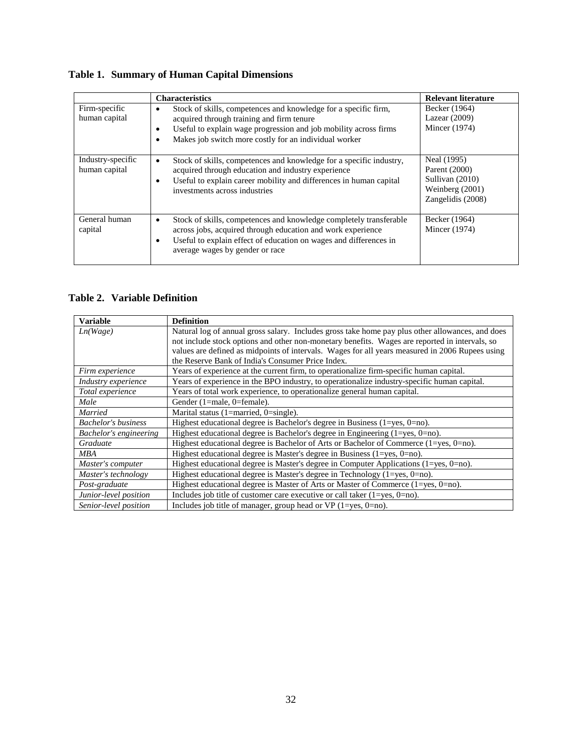**Table 1. Summary of Human Capital Dimensions**

|                                    | <b>Characteristics</b>                                                                                                                                                                                                                              | <b>Relevant literature</b>                                                              |
|------------------------------------|-----------------------------------------------------------------------------------------------------------------------------------------------------------------------------------------------------------------------------------------------------|-----------------------------------------------------------------------------------------|
| Firm-specific<br>human capital     | Stock of skills, competences and knowledge for a specific firm,<br>acquired through training and firm tenure<br>Useful to explain wage progression and job mobility across firms<br>٠<br>Makes job switch more costly for an individual worker<br>٠ | Becker (1964)<br>Lazear $(2009)$<br>Mincer (1974)                                       |
| Industry-specific<br>human capital | Stock of skills, competences and knowledge for a specific industry,<br>$\bullet$<br>acquired through education and industry experience<br>Useful to explain career mobility and differences in human capital<br>٠<br>investments across industries  | Neal (1995)<br>Parent (2000)<br>Sullivan (2010)<br>Weinberg (2001)<br>Zangelidis (2008) |
| General human<br>capital           | Stock of skills, competences and knowledge completely transferable<br>٠<br>across jobs, acquired through education and work experience<br>Useful to explain effect of education on wages and differences in<br>average wages by gender or race      | Becker (1964)<br>Mincer (1974)                                                          |

# **Table 2. Variable Definition**

| <b>Variable</b>            | <b>Definition</b>                                                                                |
|----------------------------|--------------------------------------------------------------------------------------------------|
| Ln(Wage)                   | Natural log of annual gross salary. Includes gross take home pay plus other allowances, and does |
|                            | not include stock options and other non-monetary benefits. Wages are reported in intervals, so   |
|                            | values are defined as midpoints of intervals. Wages for all years measured in 2006 Rupees using  |
|                            | the Reserve Bank of India's Consumer Price Index.                                                |
| Firm experience            | Years of experience at the current firm, to operationalize firm-specific human capital.          |
| <i>Industry experience</i> | Years of experience in the BPO industry, to operationalize industry-specific human capital.      |
| Total experience           | Years of total work experience, to operationalize general human capital.                         |
| Male                       | Gender (1=male, 0=female).                                                                       |
| <b>Married</b>             | Marital status $(1 = married, 0 = single)$ .                                                     |
| <b>Bachelor's business</b> | Highest educational degree is Bachelor's degree in Business $(1 = yes, 0 = no)$ .                |
| Bachelor's engineering     | Highest educational degree is Bachelor's degree in Engineering $(1 = yes, 0 = no)$ .             |
| Graduate                   | Highest educational degree is Bachelor of Arts or Bachelor of Commerce $(1 = yes, 0 = no)$ .     |
| MBA                        | Highest educational degree is Master's degree in Business $(1 = yes, 0 = no)$ .                  |
| Master's computer          | Highest educational degree is Master's degree in Computer Applications $(1 = yes, 0 = no)$ .     |
| Master's technology        | Highest educational degree is Master's degree in Technology $(1 = yes, 0 = no)$ .                |
| Post-graduate              | Highest educational degree is Master of Arts or Master of Commerce $(1 = yes, 0 = no)$ .         |
| Junior-level position      | Includes job title of customer care executive or call taker $(1 = yes, 0 = no)$ .                |
| Senior-level position      | Includes job title of manager, group head or $VP(1 = yes, 0 = no)$ .                             |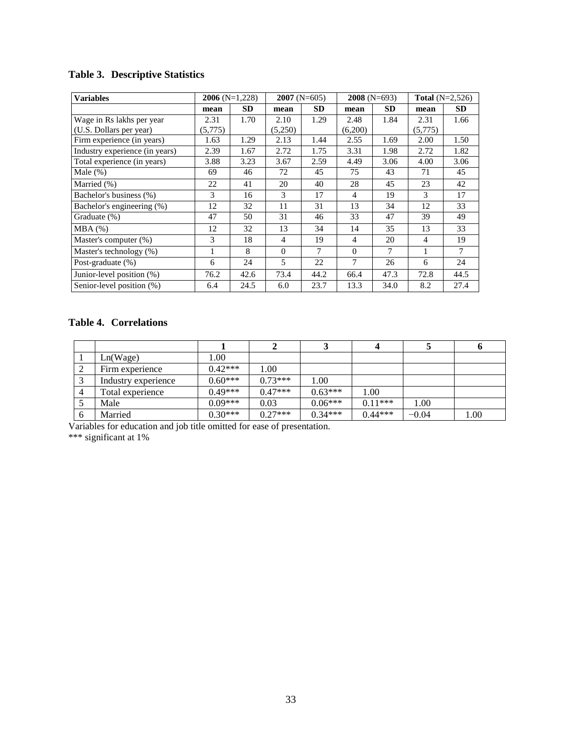# **Table 3. Descriptive Statistics**

| <b>Variables</b>               | $2006$ (N=1,228) |           | $2007$ (N=605) |           | $2008$ (N=693) |           |                | <b>Total</b> $(N=2,526)$ |
|--------------------------------|------------------|-----------|----------------|-----------|----------------|-----------|----------------|--------------------------|
|                                | mean             | <b>SD</b> | mean           | <b>SD</b> | mean           | <b>SD</b> | mean           | SD.                      |
| Wage in Rs lakhs per year      | 2.31             | 1.70      | 2.10           | 1.29      | 2.48           | 1.84      | 2.31           | 1.66                     |
| (U.S. Dollars per year)        | (5,775)          |           | (5,250)        |           | (6,200)        |           | (5,775)        |                          |
| Firm experience (in years)     | 1.63             | 1.29      | 2.13           | 1.44      | 2.55           | 1.69      | 2.00           | 1.50                     |
| Industry experience (in years) | 2.39             | 1.67      | 2.72           | 1.75      | 3.31           | 1.98      | 2.72           | 1.82                     |
| Total experience (in years)    | 3.88             | 3.23      | 3.67           | 2.59      | 4.49           | 3.06      | 4.00           | 3.06                     |
| Male $(\%)$                    | 69               | 46        | 72             | 45        | 75             | 43        | 71             | 45                       |
| Married (%)                    | 22               | 41        | 20             | 40        | 28             | 45        | 23             | 42                       |
| Bachelor's business (%)        | 3                | 16        | 3              | 17        | 4              | 19        | 3              | 17                       |
| Bachelor's engineering (%)     | 12               | 32        | 11             | 31        | 13             | 34        | 12             | 33                       |
| Graduate (%)                   | 47               | 50        | 31             | 46        | 33             | 47        | 39             | 49                       |
| MBA(%)                         | 12               | 32        | 13             | 34        | 14             | 35        | 13             | 33                       |
| Master's computer (%)          | 3                | 18        | $\overline{4}$ | 19        | 4              | 20        | $\overline{4}$ | 19                       |
| Master's technology (%)        |                  | 8         | $\Omega$       | 7         | $\Omega$       | 7         |                | 7                        |
| Post-graduate (%)              | 6                | 24        | 5              | 22        | 7              | 26        | 6              | 24                       |
| Junior-level position (%)      | 76.2             | 42.6      | 73.4           | 44.2      | 66.4           | 47.3      | 72.8           | 44.5                     |
| Senior-level position (%)      | 6.4              | 24.5      | 6.0            | 23.7      | 13.3           | 34.0      | 8.2            | 27.4                     |

# **Table 4. Correlations**

|   | Ln(Wage)            | 1.00      |           |           |           |         |      |
|---|---------------------|-----------|-----------|-----------|-----------|---------|------|
| ∠ | Firm experience     | $0.42***$ | 1.00      |           |           |         |      |
|   | Industry experience | $0.60***$ | $0.73***$ | 1.00      |           |         |      |
|   | Total experience    | $0.49***$ | $0.47***$ | $0.63***$ | 1.00      |         |      |
|   | Male                | $0.09***$ | 0.03      | $0.06***$ | $0.11***$ | 1.00    |      |
| 6 | Married             | $0.30***$ | $0.27***$ | $0.34***$ | $0.44***$ | $-0.04$ | 1.00 |

Variables for education and job title omitted for ease of presentation.

\*\*\* significant at 1%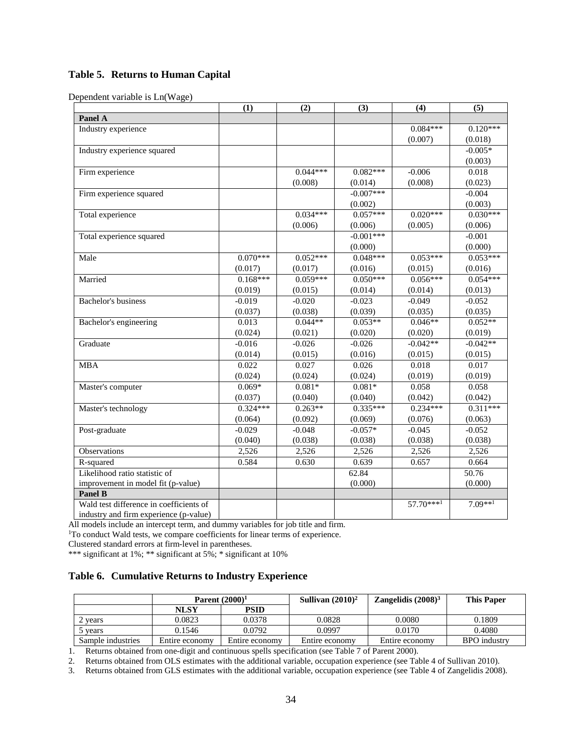# **Table 5. Returns to Human Capital**

Dependent variable is Ln(Wage)

|                                         | (1)        | (2)        | (3)         | (4)         | (5)        |
|-----------------------------------------|------------|------------|-------------|-------------|------------|
| Panel A                                 |            |            |             |             |            |
| Industry experience                     |            |            |             | $0.084***$  | $0.120***$ |
|                                         |            |            |             | (0.007)     | (0.018)    |
| Industry experience squared             |            |            |             |             | $-0.005*$  |
|                                         |            |            |             |             | (0.003)    |
| Firm experience                         |            | $0.044***$ | $0.082***$  | $-0.006$    | 0.018      |
|                                         |            | (0.008)    | (0.014)     | (0.008)     | (0.023)    |
| Firm experience squared                 |            |            | $-0.007***$ |             | $-0.004$   |
|                                         |            |            | (0.002)     |             | (0.003)    |
| Total experience                        |            | $0.034***$ | $0.057***$  | $0.020***$  | $0.030***$ |
|                                         |            | (0.006)    | (0.006)     | (0.005)     | (0.006)    |
| Total experience squared                |            |            | $-0.001***$ |             | $-0.001$   |
|                                         |            |            | (0.000)     |             | (0.000)    |
| Male                                    | $0.070***$ | $0.052***$ | $0.048***$  | $0.053***$  | $0.053***$ |
|                                         | (0.017)    | (0.017)    | (0.016)     | (0.015)     | (0.016)    |
| Married                                 | $0.168***$ | $0.059***$ | $0.050***$  | $0.056***$  | $0.054***$ |
|                                         | (0.019)    | (0.015)    | (0.014)     | (0.014)     | (0.013)    |
| Bachelor's business                     | $-0.019$   | $-0.020$   | $-0.023$    | $-0.049$    | $-0.052$   |
|                                         | (0.037)    | (0.038)    | (0.039)     | (0.035)     | (0.035)    |
| Bachelor's engineering                  | 0.013      | $0.044**$  | $0.053**$   | $0.046**$   | $0.052**$  |
|                                         | (0.024)    | (0.021)    | (0.020)     | (0.020)     | (0.019)    |
| Graduate                                | $-0.016$   | $-0.026$   | $-0.026$    | $-0.042**$  | $-0.042**$ |
|                                         | (0.014)    | (0.015)    | (0.016)     | (0.015)     | (0.015)    |
| <b>MBA</b>                              | 0.022      | 0.027      | 0.026       | 0.018       | 0.017      |
|                                         | (0.024)    | (0.024)    | (0.024)     | (0.019)     | (0.019)    |
| Master's computer                       | $0.069*$   | $0.081*$   | $0.081*$    | 0.058       | 0.058      |
|                                         | (0.037)    | (0.040)    | (0.040)     | (0.042)     | (0.042)    |
| Master's technology                     | $0.324***$ | $0.263**$  | $0.335***$  | $0.234***$  | $0.311***$ |
|                                         | (0.064)    | (0.092)    | (0.069)     | (0.076)     | (0.063)    |
| Post-graduate                           | $-0.029$   | $-0.048$   | $-0.057*$   | $-0.045$    | $-0.052$   |
|                                         | (0.040)    | (0.038)    | (0.038)     | (0.038)     | (0.038)    |
| Observations                            | 2,526      | 2,526      | 2,526       | 2,526       | 2,526      |
| R-squared                               | 0.584      | 0.630      | 0.639       | 0.657       | 0.664      |
| Likelihood ratio statistic of           |            |            | 62.84       |             | 50.76      |
| improvement in model fit (p-value)      |            |            | (0.000)     |             | (0.000)    |
| Panel B                                 |            |            |             |             |            |
| Wald test difference in coefficients of |            |            |             | $57.70***1$ | $7.09**1$  |
| industry and firm experience (p-value)  |            |            |             |             |            |

All models include an intercept term, and dummy variables for job title and firm.

<sup>1</sup>To conduct Wald tests, we compare coefficients for linear terms of experience.

Clustered standard errors at firm-level in parentheses.

\*\*\* significant at 1%; \*\* significant at 5%; \* significant at 10%

# **Table 6. Cumulative Returns to Industry Experience**

|                   | Parent $(2000)^1$ |                | Sullivan $(2010)^2$ | Zangelidis $(2008)^3$ | <b>This Paper</b>   |
|-------------------|-------------------|----------------|---------------------|-----------------------|---------------------|
|                   | <b>NLSY</b>       | <b>PSID</b>    |                     |                       |                     |
| vears             | 0.0823            | 0.0378         | 0.0828              | 0.0080                | 0.1809              |
| vears             | 0.1546            | 0.0792         | 0.0997              | 0.0170                | 0.4080              |
| Sample industries | Entire economy    | Entire economy | Entire economy      | Entire economy        | <b>BPO</b> industry |

1. Returns obtained from one-digit and continuous spells specification (see Table 7 of Parent 2000).

2. Returns obtained from OLS estimates with the additional variable, occupation experience (see Table 4 of Sullivan 2010).

3. Returns obtained from GLS estimates with the additional variable, occupation experience (see Table 4 of Zangelidis 2008).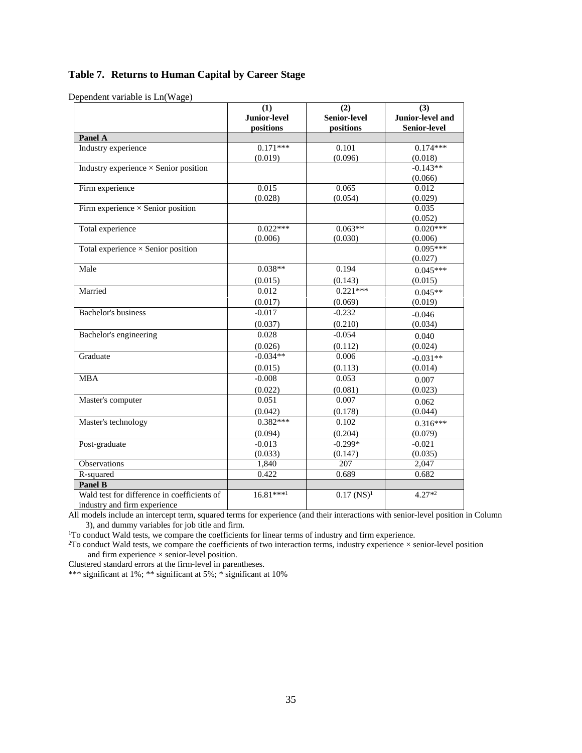# **Table 7. Returns to Human Capital by Career Stage**

Dependent variable is Ln(Wage)

|                                                                             | (1)                 | (2)              | (3)              |
|-----------------------------------------------------------------------------|---------------------|------------------|------------------|
|                                                                             | <b>Junior-level</b> | Senior-level     | Junior-level and |
|                                                                             | positions           | positions        | Senior-level     |
| Panel A                                                                     |                     |                  |                  |
| Industry experience                                                         | $0.171***$          | 0.101            | $0.174***$       |
|                                                                             | (0.019)             | (0.096)          | (0.018)          |
| Industry experience $\times$ Senior position                                |                     |                  | $-0.143**$       |
|                                                                             |                     |                  | (0.066)          |
| Firm experience                                                             | 0.015               | 0.065            | 0.012            |
|                                                                             | (0.028)             | (0.054)          | (0.029)          |
| Firm experience $\times$ Senior position                                    |                     |                  | 0.035<br>(0.052) |
| Total experience                                                            | $0.022***$          | $0.063**$        | $0.020***$       |
|                                                                             | (0.006)             | (0.030)          | (0.006)          |
| Total experience $\times$ Senior position                                   |                     |                  | $0.095***$       |
|                                                                             |                     |                  | (0.027)          |
| Male                                                                        | $0.038**$           | 0.194            | $0.045***$       |
|                                                                             | (0.015)             | (0.143)          | (0.015)          |
| Married                                                                     | 0.012               | $0.221***$       | $0.045**$        |
|                                                                             | (0.017)             | (0.069)          | (0.019)          |
| Bachelor's business                                                         | $-0.017$            | $-0.232$         | $-0.046$         |
|                                                                             | (0.037)             | (0.210)          | (0.034)          |
| Bachelor's engineering                                                      | 0.028               | $-0.054$         | 0.040            |
|                                                                             | (0.026)             | (0.112)          | (0.024)          |
| Graduate                                                                    | $-0.034**$          | 0.006            | $-0.031**$       |
|                                                                             | (0.015)             | (0.113)          | (0.014)          |
| <b>MBA</b>                                                                  | $-0.008$            | 0.053            | 0.007            |
|                                                                             | (0.022)             | (0.081)          | (0.023)          |
| Master's computer                                                           | 0.051               | 0.007            | 0.062            |
|                                                                             | (0.042)             | (0.178)          | (0.044)          |
| Master's technology                                                         | $0.382***$          | 0.102            | $0.316***$       |
|                                                                             | (0.094)             | (0.204)          | (0.079)          |
| Post-graduate                                                               | $-0.013$            | $-0.299*$        | $-0.021$         |
|                                                                             | (0.033)             | (0.147)          | (0.035)          |
| Observations                                                                | 1,840               | 207              | 2,047            |
| R-squared                                                                   | 0.422               | 0.689            | 0.682            |
| Panel B                                                                     |                     |                  |                  |
| Wald test for difference in coefficients of<br>industry and firm experience | $16.81***1$         | $0.17 \, (NS)^1$ | $4.27*2$         |

All models include an intercept term, squared terms for experience (and their interactions with senior-level position in Column 3), and dummy variables for job title and firm.<br><sup>1</sup>To conduct Wald tests, we compare the coefficients for linear terms of industry and firm experience.

<sup>2</sup>To conduct Wald tests, we compare the coefficients of two interaction terms, industry experience  $\times$  senior-level position and firm experience × senior-level position.

Clustered standard errors at the firm-level in parentheses.

\*\*\* significant at 1%; \*\* significant at 5%; \* significant at 10%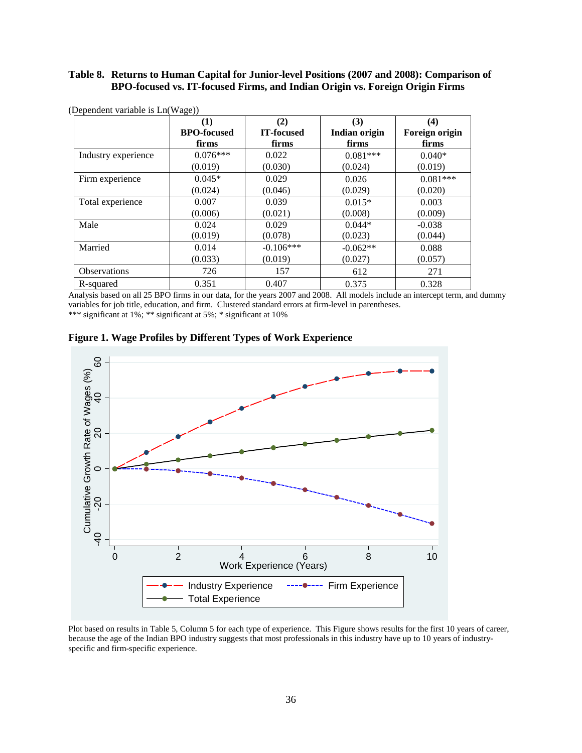## **Table 8. Returns to Human Capital for Junior-level Positions (2007 and 2008): Comparison of BPO-focused vs. IT-focused Firms, and Indian Origin vs. Foreign Origin Firms**

|                     | (1)                | (2)         | (3)                  | $\boldsymbol{(4)}$ |
|---------------------|--------------------|-------------|----------------------|--------------------|
|                     | <b>BPO-focused</b> | IT-focused  | <b>Indian origin</b> | Foreign origin     |
|                     | firms              | firms       | firms                | firms              |
| Industry experience | $0.076***$         | 0.022       | $0.081***$           | $0.040*$           |
|                     | (0.019)            | (0.030)     | (0.024)              | (0.019)            |
| Firm experience     | $0.045*$           | 0.029       | 0.026                | $0.081***$         |
|                     | (0.024)            | (0.046)     | (0.029)              | (0.020)            |
| Total experience    | 0.007              | 0.039       | $0.015*$             | 0.003              |
|                     | (0.006)            | (0.021)     | (0.008)              | (0.009)            |
| Male                | 0.024              | 0.029       | $0.044*$             | $-0.038$           |
|                     | (0.019)            | (0.078)     | (0.023)              | (0.044)            |
| Married             | 0.014              | $-0.106***$ | $-0.062**$           | 0.088              |
|                     | (0.033)            | (0.019)     | (0.027)              | (0.057)            |
| <b>Observations</b> | 726                | 157         | 612                  | 271                |
| R-squared           | 0.351              | 0.407       | 0.375                | 0.328              |

(Dependent variable is Ln(Wage))

Analysis based on all 25 BPO firms in our data, for the years 2007 and 2008. All models include an intercept term, and dummy variables for job title, education, and firm. Clustered standard errors at firm-level in parentheses. \*\*\* significant at 1%; \*\* significant at 5%; \* significant at 10%





Plot based on results in Table 5, Column 5 for each type of experience. This Figure shows results for the first 10 years of career, because the age of the Indian BPO industry suggests that most professionals in this industry have up to 10 years of industry-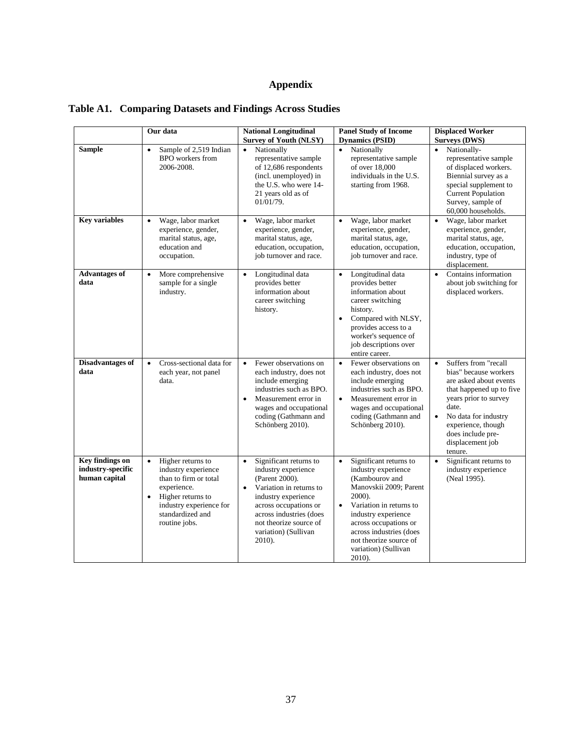# **Appendix**

|  |  |  |  | <b>Table A1. Comparing Datasets and Findings Across Studies</b> |
|--|--|--|--|-----------------------------------------------------------------|
|--|--|--|--|-----------------------------------------------------------------|

|                                                       | Our data                                                                                                                                                                                        | <b>National Longitudinal</b><br><b>Survey of Youth (NLSY)</b>                                                                                                                                                                                               | <b>Panel Study of Income</b><br><b>Dynamics (PSID)</b>                                                                                                                                                                                                                                          | <b>Displaced Worker</b><br><b>Surveys (DWS)</b>                                                                                                                                                                                                                   |
|-------------------------------------------------------|-------------------------------------------------------------------------------------------------------------------------------------------------------------------------------------------------|-------------------------------------------------------------------------------------------------------------------------------------------------------------------------------------------------------------------------------------------------------------|-------------------------------------------------------------------------------------------------------------------------------------------------------------------------------------------------------------------------------------------------------------------------------------------------|-------------------------------------------------------------------------------------------------------------------------------------------------------------------------------------------------------------------------------------------------------------------|
| <b>Sample</b>                                         | Sample of 2,519 Indian<br>$\bullet$<br>BPO workers from<br>2006-2008.                                                                                                                           | Nationally<br>$\bullet$<br>representative sample<br>of 12,686 respondents<br>(incl. unemployed) in<br>the U.S. who were 14-<br>21 years old as of<br>01/01/79.                                                                                              | Nationally<br>representative sample<br>of over 18,000<br>individuals in the U.S.<br>starting from 1968.                                                                                                                                                                                         | Nationally-<br>representative sample<br>of displaced workers.<br>Biennial survey as a<br>special supplement to<br><b>Current Population</b><br>Survey, sample of<br>60,000 households.                                                                            |
| <b>Key variables</b>                                  | Wage, labor market<br>$\bullet$<br>experience, gender,<br>marital status, age,<br>education and<br>occupation.                                                                                  | Wage, labor market<br>$\bullet$<br>experience, gender,<br>marital status, age,<br>education, occupation,<br>job turnover and race.                                                                                                                          | Wage, labor market<br>$\bullet$<br>experience, gender,<br>marital status, age,<br>education, occupation,<br>job turnover and race.                                                                                                                                                              | Wage, labor market<br>$\bullet$<br>experience, gender,<br>marital status, age,<br>education, occupation,<br>industry, type of<br>displacement.                                                                                                                    |
| <b>Advantages of</b><br>data                          | More comprehensive<br>$\bullet$<br>sample for a single<br>industry.                                                                                                                             | Longitudinal data<br>$\bullet$<br>provides better<br>information about<br>career switching<br>history.                                                                                                                                                      | Longitudinal data<br>$\bullet$<br>provides better<br>information about<br>career switching<br>history.<br>Compared with NLSY,<br>provides access to a<br>worker's sequence of<br>job descriptions over<br>entire career.                                                                        | Contains information<br>$\bullet$<br>about job switching for<br>displaced workers.                                                                                                                                                                                |
| Disadvantages of<br>data                              | Cross-sectional data for<br>$\bullet$<br>each year, not panel<br>data.                                                                                                                          | Fewer observations on<br>$\bullet$<br>each industry, does not<br>include emerging<br>industries such as BPO.<br>Measurement error in<br>$\bullet$<br>wages and occupational<br>coding (Gathmann and<br>Schönberg 2010).                                     | Fewer observations on<br>$\bullet$<br>each industry, does not<br>include emerging<br>industries such as BPO.<br>Measurement error in<br>$\bullet$<br>wages and occupational<br>coding (Gathmann and<br>Schönberg 2010).                                                                         | Suffers from "recall<br>$\bullet$<br>bias" because workers<br>are asked about events<br>that happened up to five<br>years prior to survey<br>date.<br>No data for industry<br>$\bullet$<br>experience, though<br>does include pre-<br>displacement job<br>tenure. |
| Key findings on<br>industry-specific<br>human capital | $\bullet$<br>Higher returns to<br>industry experience<br>than to firm or total<br>experience.<br>Higher returns to<br>$\bullet$<br>industry experience for<br>standardized and<br>routine jobs. | Significant returns to<br>$\bullet$<br>industry experience<br>(Parent 2000).<br>Variation in returns to<br>$\bullet$<br>industry experience<br>across occupations or<br>across industries (does<br>not theorize source of<br>variation) (Sullivan<br>2010). | Significant returns to<br>$\bullet$<br>industry experience<br>(Kambourov and<br>Manovskii 2009; Parent<br>2000).<br>Variation in returns to<br>$\bullet$<br>industry experience<br>across occupations or<br>across industries (does<br>not theorize source of<br>variation) (Sullivan<br>2010). | Significant returns to<br>$\bullet$<br>industry experience<br>(Neal 1995).                                                                                                                                                                                        |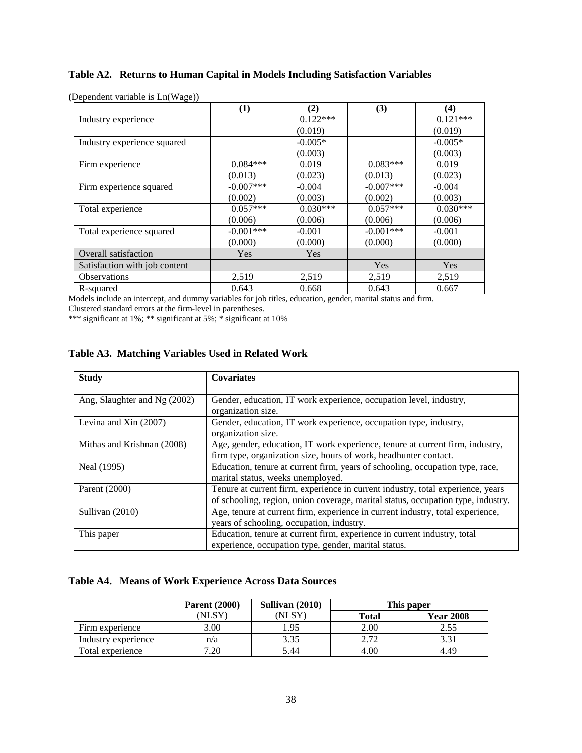# **Table A2. Returns to Human Capital in Models Including Satisfaction Variables**

|                               | (1)         | (2)        | (3)         | (4)        |
|-------------------------------|-------------|------------|-------------|------------|
| Industry experience           |             | $0.122***$ |             | $0.121***$ |
|                               |             | (0.019)    |             | (0.019)    |
| Industry experience squared   |             | $-0.005*$  |             | $-0.005*$  |
|                               |             | (0.003)    |             | (0.003)    |
| Firm experience               | $0.084***$  | 0.019      | $0.083***$  | 0.019      |
|                               | (0.013)     | (0.023)    | (0.013)     | (0.023)    |
| Firm experience squared       | $-0.007***$ | $-0.004$   | $-0.007***$ | $-0.004$   |
|                               | (0.002)     | (0.003)    | (0.002)     | (0.003)    |
| Total experience              | $0.057***$  | $0.030***$ | $0.057***$  | $0.030***$ |
|                               | (0.006)     | (0.006)    | (0.006)     | (0.006)    |
| Total experience squared      | $-0.001***$ | $-0.001$   | $-0.001***$ | $-0.001$   |
|                               | (0.000)     | (0.000)    | (0.000)     | (0.000)    |
| Overall satisfaction          | Yes         | Yes        |             |            |
| Satisfaction with job content |             |            | Yes         | Yes        |
| Observations                  | 2,519       | 2,519      | 2,519       | 2,519      |
| R-squared                     | 0.643       | 0.668      | 0.643       | 0.667      |

**(**Dependent variable is Ln(Wage))

Models include an intercept, and dummy variables for job titles, education, gender, marital status and firm.

Clustered standard errors at the firm-level in parentheses.

\*\*\* significant at 1%; \*\* significant at 5%; \* significant at 10%

## **Table A3. Matching Variables Used in Related Work**

| <b>Study</b>                 | <b>Covariates</b>                                                                                                                                                   |
|------------------------------|---------------------------------------------------------------------------------------------------------------------------------------------------------------------|
| Ang, Slaughter and Ng (2002) | Gender, education, IT work experience, occupation level, industry,<br>organization size.                                                                            |
| Levina and Xin (2007)        | Gender, education, IT work experience, occupation type, industry,<br>organization size.                                                                             |
| Mithas and Krishnan (2008)   | Age, gender, education, IT work experience, tenure at current firm, industry,<br>firm type, organization size, hours of work, headhunter contact.                   |
| Neal (1995)                  | Education, tenure at current firm, years of schooling, occupation type, race,<br>marital status, weeks unemployed.                                                  |
| Parent (2000)                | Tenure at current firm, experience in current industry, total experience, years<br>of schooling, region, union coverage, marital status, occupation type, industry. |
| Sullivan (2010)              | Age, tenure at current firm, experience in current industry, total experience,<br>years of schooling, occupation, industry.                                         |
| This paper                   | Education, tenure at current firm, experience in current industry, total<br>experience, occupation type, gender, marital status.                                    |

# **Table A4. Means of Work Experience Across Data Sources**

|                     | <b>Parent</b> (2000) | Sullivan (2010) |       | This paper       |  |
|---------------------|----------------------|-----------------|-------|------------------|--|
|                     | NLSY                 | (NLSY)          | Total | <b>Year 2008</b> |  |
| Firm experience     | 3.00                 | .95             | 2.00  | 2.55             |  |
| Industry experience | n/a                  | 3.35            | 2.72  |                  |  |
| Total experience    | 7.20                 | 5.44            | 4.00  | 4.49             |  |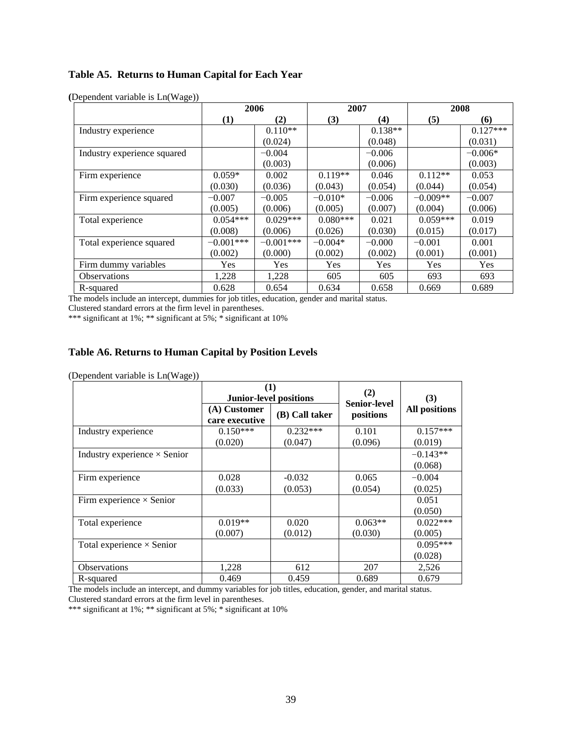# **Table A5. Returns to Human Capital for Each Year**

|                             | 2006        |             | 2007       |           | 2008       |            |
|-----------------------------|-------------|-------------|------------|-----------|------------|------------|
|                             | (1)         | (2)         | (3)        | (4)       | (5)        | (6)        |
| Industry experience         |             | $0.110**$   |            | $0.138**$ |            | $0.127***$ |
|                             |             | (0.024)     |            | (0.048)   |            | (0.031)    |
| Industry experience squared |             | $-0.004$    |            | $-0.006$  |            | $-0.006*$  |
|                             |             | (0.003)     |            | (0.006)   |            | (0.003)    |
| Firm experience             | $0.059*$    | 0.002       | $0.119**$  | 0.046     | $0.112**$  | 0.053      |
|                             | (0.030)     | (0.036)     | (0.043)    | (0.054)   | (0.044)    | (0.054)    |
| Firm experience squared     | $-0.007$    | $-0.005$    | $-0.010*$  | $-0.006$  | $-0.009**$ | $-0.007$   |
|                             | (0.005)     | (0.006)     | (0.005)    | (0.007)   | (0.004)    | (0.006)    |
| Total experience            | $0.054***$  | $0.029***$  | $0.080***$ | 0.021     | $0.059***$ | 0.019      |
|                             | (0.008)     | (0.006)     | (0.026)    | (0.030)   | (0.015)    | (0.017)    |
| Total experience squared    | $-0.001***$ | $-0.001***$ | $-0.004*$  | $-0.000$  | $-0.001$   | 0.001      |
|                             | (0.002)     | (0.000)     | (0.002)    | (0.002)   | (0.001)    | (0.001)    |
| Firm dummy variables        | Yes         | Yes         | Yes        | Yes       | <b>Yes</b> | Yes        |
| <b>Observations</b>         | 1,228       | 1,228       | 605        | 605       | 693        | 693        |
| R-squared                   | 0.628       | 0.654       | 0.634      | 0.658     | 0.669      | 0.689      |

**(**Dependent variable is Ln(Wage))

The models include an intercept, dummies for job titles, education, gender and marital status.

Clustered standard errors at the firm level in parentheses.

\*\*\* significant at 1%; \*\* significant at 5%; \* significant at 10%

# **Table A6. Returns to Human Capital by Position Levels**

(Dependent variable is Ln(Wage))

|                                     |                                | (1)<br><b>Junior-level positions</b> | (2)<br>Senior-level  | (3)<br><b>All positions</b>      |  |
|-------------------------------------|--------------------------------|--------------------------------------|----------------------|----------------------------------|--|
|                                     | (A) Customer<br>care executive | (B) Call taker                       | positions            |                                  |  |
| Industry experience                 | $0.150***$                     | $0.232***$                           | 0.101                | $0.157***$                       |  |
| Industry experience $\times$ Senior | (0.020)                        | (0.047)                              | (0.096)              | (0.019)<br>$-0.143**$<br>(0.068) |  |
| Firm experience                     | 0.028<br>(0.033)               | $-0.032$<br>(0.053)                  | 0.065<br>(0.054)     | $-0.004$<br>(0.025)              |  |
| Firm experience $\times$ Senior     |                                |                                      |                      | 0.051<br>(0.050)                 |  |
| Total experience                    | $0.019**$<br>(0.007)           | 0.020<br>(0.012)                     | $0.063**$<br>(0.030) | $0.022***$<br>(0.005)            |  |
| Total experience $\times$ Senior    |                                |                                      |                      | $0.095***$<br>(0.028)            |  |
| <b>Observations</b>                 | 1,228                          | 612                                  | 207                  | 2,526                            |  |
| R-squared                           | 0.469                          | 0.459                                | 0.689                | 0.679                            |  |

The models include an intercept, and dummy variables for job titles, education, gender, and marital status. Clustered standard errors at the firm level in parentheses.

\*\*\* significant at 1%; \*\* significant at 5%; \* significant at 10%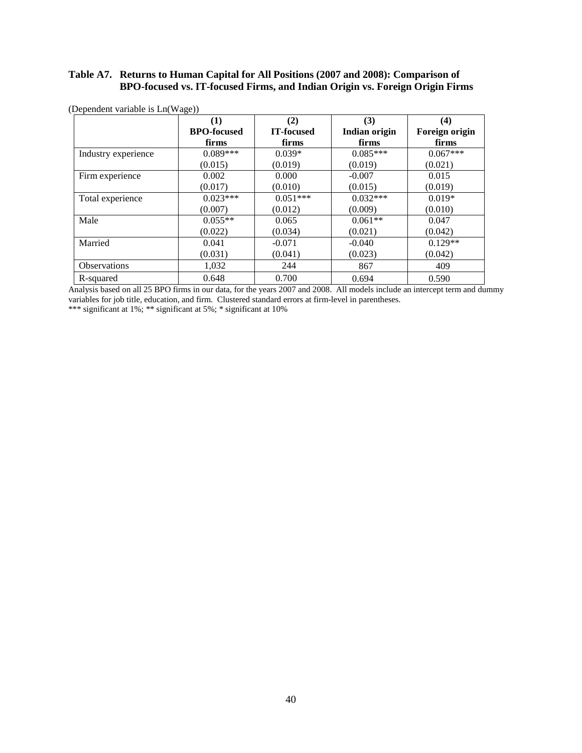# **Table A7. Returns to Human Capital for All Positions (2007 and 2008): Comparison of BPO-focused vs. IT-focused Firms, and Indian Origin vs. Foreign Origin Firms**

|                     | $\bf(1)$           | (2)        | (3)           | (4)            |
|---------------------|--------------------|------------|---------------|----------------|
|                     | <b>BPO-focused</b> | IT-focused | Indian origin | Foreign origin |
|                     | firms              | firms      | firms         | firms          |
| Industry experience | $0.089***$         | $0.039*$   | $0.085***$    | $0.067***$     |
|                     | (0.015)            | (0.019)    | (0.019)       | (0.021)        |
| Firm experience     | 0.002              | 0.000      | $-0.007$      | 0.015          |
|                     | (0.017)            | (0.010)    | (0.015)       | (0.019)        |
| Total experience    | $0.023***$         | $0.051***$ | $0.032***$    | $0.019*$       |
|                     | (0.007)            | (0.012)    | (0.009)       | (0.010)        |
| Male                | $0.055**$          | 0.065      | $0.061**$     | 0.047          |
|                     | (0.022)            | (0.034)    | (0.021)       | (0.042)        |
| Married             | 0.041              | $-0.071$   | $-0.040$      | $0.129**$      |
|                     | (0.031)            | (0.041)    | (0.023)       | (0.042)        |
| <b>Observations</b> | 1,032              | 244        | 867           | 409            |
| R-squared           | 0.648              | 0.700      | 0.694         | 0.590          |

(Dependent variable is Ln(Wage))

Analysis based on all 25 BPO firms in our data, for the years 2007 and 2008. All models include an intercept term and dummy variables for job title, education, and firm. Clustered standard errors at firm-level in parentheses.

\*\*\* significant at 1%; \*\* significant at 5%; \* significant at 10%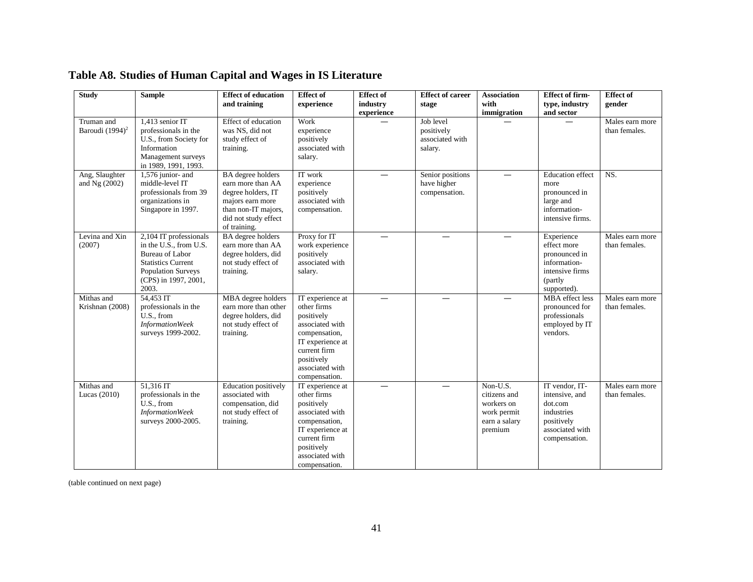| <b>Study</b>                              | <b>Sample</b>                                                                                                                                                         | <b>Effect of education</b>                                                                                                                             | <b>Effect of</b>                                                                                                                                                        | <b>Effect of</b>         | <b>Effect of career</b>                               | <b>Association</b>                                                                | <b>Effect of firm-</b>                                                                                      | <b>Effect of</b>                 |
|-------------------------------------------|-----------------------------------------------------------------------------------------------------------------------------------------------------------------------|--------------------------------------------------------------------------------------------------------------------------------------------------------|-------------------------------------------------------------------------------------------------------------------------------------------------------------------------|--------------------------|-------------------------------------------------------|-----------------------------------------------------------------------------------|-------------------------------------------------------------------------------------------------------------|----------------------------------|
|                                           |                                                                                                                                                                       | and training                                                                                                                                           | experience                                                                                                                                                              | industry                 | stage                                                 | with                                                                              | type, industry                                                                                              | gender                           |
|                                           |                                                                                                                                                                       |                                                                                                                                                        |                                                                                                                                                                         | experience               |                                                       | immigration                                                                       | and sector                                                                                                  |                                  |
| Truman and<br>Baroudi (1994) <sup>2</sup> | 1.413 senior IT<br>professionals in the<br>U.S., from Society for<br>Information<br>Management surveys<br>in 1989, 1991, 1993.                                        | Effect of education<br>was NS, did not<br>study effect of<br>training.                                                                                 | Work<br>experience<br>positively<br>associated with<br>salary.                                                                                                          |                          | Job level<br>positively<br>associated with<br>salary. |                                                                                   |                                                                                                             | Males earn more<br>than females. |
| Ang, Slaughter<br>and Ng (2002)           | 1,576 junior- and<br>middle-level IT<br>professionals from 39<br>organizations in<br>Singapore in 1997.                                                               | <b>BA</b> degree holders<br>earn more than AA<br>degree holders, IT<br>majors earn more<br>than non-IT majors,<br>did not study effect<br>of training. | IT work<br>experience<br>positively<br>associated with<br>compensation.                                                                                                 |                          | Senior positions<br>have higher<br>compensation.      | $\overline{\phantom{0}}$                                                          | <b>Education</b> effect<br>more<br>pronounced in<br>large and<br>information-<br>intensive firms.           | NS.                              |
| Levina and Xin<br>(2007)                  | 2,104 IT professionals<br>in the U.S., from U.S.<br><b>Bureau of Labor</b><br><b>Statistics Current</b><br><b>Population Surveys</b><br>(CPS) in 1997, 2001,<br>2003. | <b>BA</b> degree holders<br>earn more than AA<br>degree holders, did<br>not study effect of<br>training.                                               | Proxy for IT<br>work experience<br>positively<br>associated with<br>salary.                                                                                             |                          |                                                       |                                                                                   | Experience<br>effect more<br>pronounced in<br>information-<br>intensive firms<br>(partly<br>supported).     | Males earn more<br>than females. |
| Mithas and<br>Krishnan (2008)             | 54.453 IT<br>professionals in the<br>U.S., from<br><b>InformationWeek</b><br>surveys 1999-2002.                                                                       | MBA degree holders<br>earn more than other<br>degree holders, did<br>not study effect of<br>training.                                                  | IT experience at<br>other firms<br>positively<br>associated with<br>compensation,<br>IT experience at<br>current firm<br>positively<br>associated with<br>compensation. | $\overline{\phantom{0}}$ | $\overline{\phantom{0}}$                              |                                                                                   | <b>MBA</b> effect less<br>pronounced for<br>professionals<br>employed by IT<br>vendors.                     | Males earn more<br>than females. |
| Mithas and<br>Lucas $(2010)$              | 51.316 IT<br>professionals in the<br>U.S., from<br><b>InformationWeek</b><br>surveys 2000-2005.                                                                       | <b>Education</b> positively<br>associated with<br>compensation, did<br>not study effect of<br>training.                                                | IT experience at<br>other firms<br>positively<br>associated with<br>compensation,<br>IT experience at<br>current firm<br>positively<br>associated with<br>compensation. |                          | $\overline{\phantom{0}}$                              | Non-U.S.<br>citizens and<br>workers on<br>work permit<br>earn a salary<br>premium | IT vendor, IT-<br>intensive, and<br>dot.com<br>industries<br>positively<br>associated with<br>compensation. | Males earn more<br>than females. |

# **Table A8. Studies of Human Capital and Wages in IS Literature**

(table continued on next page)